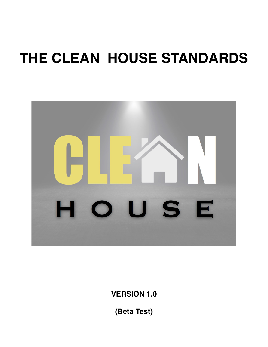# **THE CLEAN HOUSE STANDARDS**



**VERSION 1.0**

**(Beta Test)**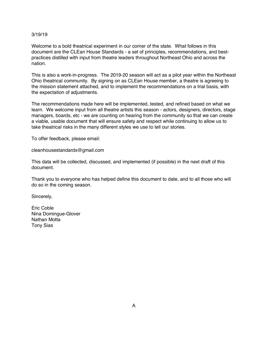#### 3/19/19

Welcome to a bold theatrical experiment in our corner of the state. What follows in this document are the CLEan House Standards - a set of principles, recommendations, and bestpractices distilled with input from theatre leaders throughout Northeast Ohio and across the nation.

This is also a work-in-progress. The 2019-20 season will act as a pilot year within the Northeast Ohio theatrical community. By signing on as CLEan House member, a theatre is agreeing to the mission statement attached, and to implement the recommendations on a trial basis, with the expectation of adjustments.

The recommendations made here will be implemented, tested, and refined based on what we learn. We welcome input from all theatre artists this season - actors, designers, directors, stage managers, boards, etc - we are counting on hearing from the community so that we can create a viable, usable document that will ensure safety and respect while continuing to allow us to take theatrical risks in the many different styles we use to tell our stories.

To offer feedback, please email:

cleanhousestandards@gmail.com

This data will be collected, discussed, and implemented (if possible) in the next draft of this document.

Thank you to everyone who has helped define this document to date, and to all those who will do so in the coming season.

Sincerely,

Eric Coble Nina Domingue-Glover Nathan Motta Tony Sias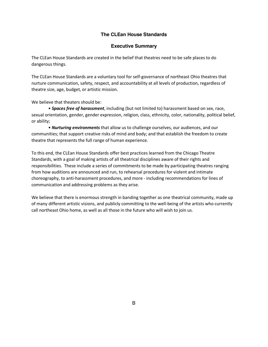### **The CLEan House Standards**

#### **Executive Summary**

The CLEan House Standards are created in the belief that theatres need to be safe places to do dangerous things.

The CLEan House Standards are a voluntary tool for self-governance of northeast Ohio theatres that nurture communication, safety, respect, and accountability at all levels of production, regardless of theatre size, age, budget, or artistic mission.

We believe that theaters should be:

• *Spaces free of harassment*, including (but not limited to) harassment based on sex, race, sexual orientation, gender, gender expression, religion, class, ethnicity, color, nationality, political belief, or ability;

• *Nurturing environments* that allow us to challenge ourselves, our audiences, and our communities; that support creative risks of mind and body; and that establish the freedom to create theatre that represents the full range of human experience.

To this end, the CLEan House Standards offer best practices learned from the Chicago Theatre Standards, with a goal of making artists of all theatrical disciplines aware of their rights and responsibilities. These include a series of commitments to be made by participating theatres ranging from how auditions are announced and run, to rehearsal procedures for violent and intimate choreography, to anti-harassment procedures, and more - including recommendations for lines of communication and addressing problems as they arise.

We believe that there is enormous strength in banding together as one theatrical community, made up of many different artistic visions, and publicly committing to the well-being of the artists who currently call northeast Ohio home, as well as all those in the future who will wish to join us.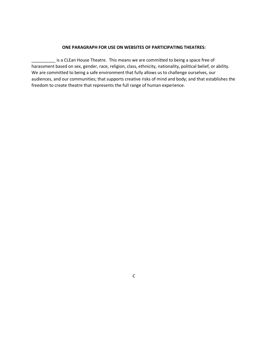#### **ONE PARAGRAPH FOR USE ON WEBSITES OF PARTICIPATING THEATRES:**

\_\_\_\_\_\_\_\_\_\_ is a CLEan House Theatre. This means we are committed to being a space free of harassment based on sex, gender, race, religion, class, ethnicity, nationality, political belief, or ability. We are committed to being a safe environment that fully allows us to challenge ourselves, our audiences, and our communities; that supports creative risks of mind and body; and that establishes the freedom to create theatre that represents the full range of human experience.

C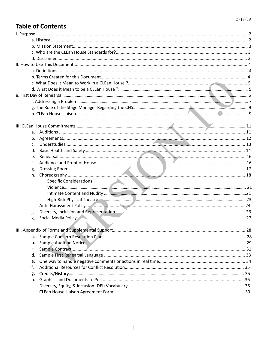# **Table of Contents**

| а. |                                                                                                                                                                                                                                |  |
|----|--------------------------------------------------------------------------------------------------------------------------------------------------------------------------------------------------------------------------------|--|
| b. |                                                                                                                                                                                                                                |  |
| c. |                                                                                                                                                                                                                                |  |
| d. |                                                                                                                                                                                                                                |  |
| e. |                                                                                                                                                                                                                                |  |
| f. |                                                                                                                                                                                                                                |  |
| g. |                                                                                                                                                                                                                                |  |
| h. |                                                                                                                                                                                                                                |  |
|    | <b>Specific Considerations:</b>                                                                                                                                                                                                |  |
|    |                                                                                                                                                                                                                                |  |
|    |                                                                                                                                                                                                                                |  |
|    |                                                                                                                                                                                                                                |  |
| İ. |                                                                                                                                                                                                                                |  |
| j. |                                                                                                                                                                                                                                |  |
| k. | Social Media Policy (27 november 27 november 2014) and the contract of the contract of the contract of the contract of the contract of the contract of the contract of the contract of the contract of the contract of the con |  |
|    |                                                                                                                                                                                                                                |  |
|    |                                                                                                                                                                                                                                |  |
| а. |                                                                                                                                                                                                                                |  |
| b. |                                                                                                                                                                                                                                |  |
| c. |                                                                                                                                                                                                                                |  |
| d. |                                                                                                                                                                                                                                |  |
| e. |                                                                                                                                                                                                                                |  |
| f. |                                                                                                                                                                                                                                |  |
| g. |                                                                                                                                                                                                                                |  |
| h. |                                                                                                                                                                                                                                |  |
| i. |                                                                                                                                                                                                                                |  |
|    |                                                                                                                                                                                                                                |  |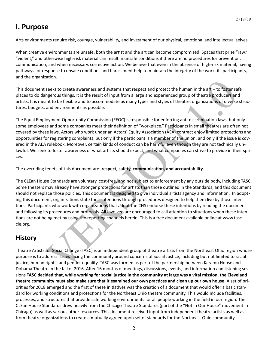# **I. Purpose**

Arts environments require risk, courage, vulnerability, and investment of our physical, emotional and intellectual selves.

When creative environments are unsafe, both the artist and the art can become compromised. Spaces that prize "raw," "violent," and otherwise high-risk material can result in unsafe conditions if there are no procedures for prevention, communication, and when necessary, corrective action. We believe that even in the absence of high-risk material, having pathways for response to unsafe conditions and harassment help to maintain the integrity of the work, its participants, and the organization.

This document seeks to create awareness and systems that respect and protect the human in the  $art - to$  foster safe places to do dangerous things. It is the result of input from a large and experienced group of theatre producers and artists. It is meant to be flexible and to accommodate as many types and styles of theatre, organizations of diverse structures, budgets, and environments as possible.

The Equal Employment Opportunity Commission (EEOC) is responsible for enforcing anti-discrimination laws, but only some employees and some companies meet their definition of "workplace." Participants in small theatres are often not covered by these laws. Actors who work under an Actors' Equity Association (AEA) contract enjoy limited protections and opportunities for registering complaints, but only if the participant is a member of the union, and only if the issue is covered in the AEA rulebook. Moreover, certain kinds of conduct can be harmful even though they are not technically unlawful. We seek to foster awareness of what artists should expect, and what companies can strive to provide in their spaces. 

The overriding tenets of this document are: respect, safety, communication, and accountability.

seeks to create awareness and systems that respect and protect the human in the art – to foster sare<br>regerous things. It is the result of input from a large and experienced group of theatre producers and<br>math to be flexibl The CLEan House Standards are voluntary, cost-free, and not subject to enforcement by any outside body, including TASC. Some theaters may already have stronger protections for artists than those outlined in the Standards, and this document should not replace those policies. This document is designed to give individual artists agency and information. In adopting this document, organizations state their intentions through procedures designed to help them live by those intentions. Participants who work with organizations that adopt the CHS endorse these intentions by reading the document and following its procedures and protocols. All involved are encouraged to call attention to situations when these intentions are not being met by using the reporting channels herein. This is a free document available online at www.tasccle.org. 

# **History**

Theatre Artists for Social Change (TASC) is an independent group of theatre artists from the Northeast Ohio region whose purpose is to address issues facing the community around concerns of Social Justice; including but not limited to racial justice, human rights, and gender equality. TASC was formed as part of the partnership between Karamu House and Dobama Theatre in the fall of 2016. After 16 months of meetings, discussions, events, and information and listening sessions TASC decided that, while working for social justice in the community at large was a vital mission, the Cleveland **theatre community must also make sure that it examined our own practices and clean up our own house.** A set of priorities for 2018 emerged and the first of these initiatives was the creation of a document that would offer a basic standard for working conditions and protections for the Northeast Ohio theatre community. This would include facilities, processes, and structures that provide safe working environments for all people working in the field in our region. The CLEan House Standards drew heavily from the Chicago Theatre Standards (part of the "Not in Our House" movement in Chicago) as well as various other resources. This document received input from independent theatre artists as well as from theatre organizations to create a mutually agreed upon set of standards for the Northeast Ohio community.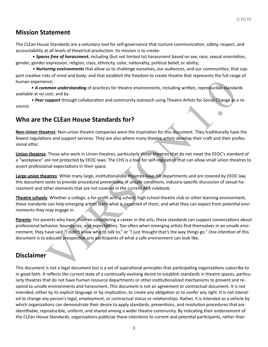# **Mission Statement**

The CLEan House Standards are a voluntary tool for self-governance that nurture communication, safety, respect, and accountability at all levels of theatrical production. Its mission is to create:

• **Spaces free of harassment**, including (but not limited to) harassment based on sex, race, sexual orientation, gender, gender expression, religion, class, ethnicity, color, nationality, political belief, or ability;

• **Nurturing environments** that allow us to challenge ourselves, our audiences, and our communities; that support creative risks of mind and body; and that establish the freedom to create theatre that represents the full range of human experience;

• A common understanding of practices for theatre environments, including written, reproducible standards available at no cost; and by

• Peer support through collaboration and community outreach using Theatre Artists for Social Change as a resource. 

# **Who are the CLEan House Standards for?**

**Non-Union theatres**: Non-union theatre companies were the inspiration for this document. They traditionally have the fewest regulations and support services. They are also where many theatre artists develop their craft and their professional ethic.

**Union theatres**: Those who work in Union theatres, particularly those theatres that do not meet the EEOC's standard of a "workplace" are not protected by EEOC laws. The CHS is a tool for self-regulation that can allow small union theatres to assert professional expectations in their space.

Large union theatres: While many large, institutionalized theatres have HR departments and are covered by EEOC law, this document seeks to provide procedural preventions of unsafe conditions, industry-specific discussion of sexual harassment and other elements that are not covered in the current AEA rulebook.

**Theatre schools**: Whether a college, a for-profit acting school, high school theatre club or other learning environment, these standards can help emerging artists learn what is expected of them, and what they can expect from potential environments they may engage in.

nterior and by<br>
start and by<br>
start and by<br>
start and by<br>
start and by<br>
start and by<br>
start and by<br>
start and by<br>
start and by<br>
start and both could commands were the inspiration for this decument. They traditionally have<br> **Parents**: For parents who have children considering a career in the arts, these standards can support conversations about professional behavior, boundaries, and expectations. Too often when emerging artists find themselves in an unsafe environment, they have said "I didn't know who to talk to," or "I just thought that's the way things go." One intention of this document is to educate prospective arts participants of what a safe environment can look like.

# **Disclaimer**

This document is not a legal document but is a set of aspirational principles that participating organizations subscribe to in good faith. It reflects the current state of a continually evolving desire to establish standards in theatre spaces, particularly theatres that do not have human resource departments or other institutionalized mechanisms to prevent and respond to unsafe environments and harassment. This document is not an agreement or contractual document. It is not intended, either by its explicit language or by implication, to create any obligation or to confer any right. It is not intended to change any person's legal, employment, or contractual status or relationships. Rather, it is intended as a vehicle by which organizations can demonstrate their desire to apply standards, preventions, and resolution procedures that are identifiable, reproducible, uniform, and shared among a wider theatre community. By indicating their endorsement of the CLEan House Standards, organizations publicize these intentions to current and potential participants, rather than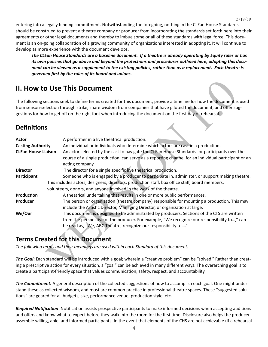entering into a legally binding commitment. Notwithstanding the foregoing, nothing in the CLEan House Standards should be construed to prevent a theatre company or producer from incorporating the standards set forth here into their agreements or other legal documents and thereby to imbue some or all of these standards with legal force. This document is an on-going collaboration of a growing community of organizations interested in adopting it. It will continue to develop as more experience with the document develops.

The CLEan House Standards are a baseline document. If a theatre is already operating by Equity rules or has *its* own policies that go above and beyond the protections and procedures outlined here, adopting this docu*ment can be viewed as a supplement to the existing policies, rather than as a replacement. Each theatre is governed first by the rules of its board and unions.*

# **II. How to Use This Document**

# **Defini8ons**

|                            | <b>II. How to Use This Document</b>                                                                                                                                                                                                                                                                                                                      |
|----------------------------|----------------------------------------------------------------------------------------------------------------------------------------------------------------------------------------------------------------------------------------------------------------------------------------------------------------------------------------------------------|
|                            | The following sections seek to define terms created for this document, provide a timeline for how the document is used<br>from season-selection through strike, share wisdom from companies that have piloted the document, and offer sug-<br>gestions for how to get off on the right foot when introducing the document on the first day of rehearsal. |
| <b>Definitions</b>         |                                                                                                                                                                                                                                                                                                                                                          |
| <b>Actor</b>               | A performer in a live theatrical production.                                                                                                                                                                                                                                                                                                             |
| <b>Casting Authority</b>   | An individual or individuals who determine which actors are cast in a production.                                                                                                                                                                                                                                                                        |
| <b>CLEan House Liaison</b> | An actor selected by the cast to navigate the CLEan House Standards for participants over the                                                                                                                                                                                                                                                            |
|                            | course of a single production, can serve as a reporting channel for an individual participant or an<br>acting company.                                                                                                                                                                                                                                   |
| <b>Director</b>            | The director for a single specific live theatrical production.                                                                                                                                                                                                                                                                                           |
| Participant                | Someone who is engaged by a producer to participate in, administer, or support making theatre.                                                                                                                                                                                                                                                           |
|                            | This includes actors, designers, directors, production staff, box office staff, board members,                                                                                                                                                                                                                                                           |
|                            | volunteers, donors, and anyone involved in the work of the theatre.                                                                                                                                                                                                                                                                                      |
| Production                 | A theatrical undertaking that results in one or more public performances.                                                                                                                                                                                                                                                                                |
| Producer                   | The person or organization (theatre company) responsible for mounting a production. This may<br>include the Artistic Director, Managing Director, or organization at large.                                                                                                                                                                              |
| We/Our                     | This document is designed to be administrated by producers. Sections of the CTS are written                                                                                                                                                                                                                                                              |
|                            | from the perspective of the producer. For example, "We recognize our responsibility to," can                                                                                                                                                                                                                                                             |
|                            | be read as, "We, ABC Theatre, recognize our responsibility to"                                                                                                                                                                                                                                                                                           |
|                            | <b>Terms Created for this Document</b>                                                                                                                                                                                                                                                                                                                   |
|                            | The following terms and their meanings are used within each Standard of this document.                                                                                                                                                                                                                                                                   |
|                            | The Goal: Each standard will be introduced with a goal; wherein a "creative problem" can be "solved." Rather than creat-                                                                                                                                                                                                                                 |
|                            | ing a prescriptive action for every situation, a "goal" can be achieved in many different ways. The overarching goal is to                                                                                                                                                                                                                               |
|                            | create a narticinant-friendly snace that values communication safety respect and accountability                                                                                                                                                                                                                                                          |

# **Terms Created for this Document**

**The Goal**: Each standard will be introduced with a goal; wherein a "creative problem" can be "solved." Rather than creating a prescriptive action for every situation, a "goal" can be achieved in many different ways. The overarching goal is to create a participant-friendly space that values communication, safety, respect, and accountability.

The Commitment: A general description of the collected suggestions of how to accomplish each goal. One might understand these as collected wisdom, and most are common practice in professional theatre spaces. These "suggested solutions" are geared for all budgets, size, performance venue, production style, etc.

*Required Notification*: Notification assists prospective participants to make informed decisions when accepting auditions and offers and know what to expect before they walk into the room for the first time. Disclosure also helps the producer assemble willing, able, and informed participants. In the event that elements of the CHS are not achievable (if a rehearsal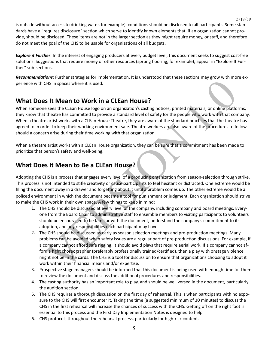is outside without access to drinking water, for example), conditions should be disclosed to all participants. Some standards have a "requires disclosure" section which serve to identify known elements that, if an organization cannot provide, should be disclosed. These items are not in the larger section as they might require money, or staff, and therefore do not meet the goal of the CHS to be usable for organizations of all budgets.

3/19/19

**Explore it Further**: In the interest of engaging producers at every budget level, this document seeks to suggest cost-free solutions. Suggestions that require money or other resources (sprung flooring, for example), appear in "Explore It Further" sub-sections.

*Recommendations:* Further strategies for implementation. It is understood that these sections may grow with more experience with CHS in spaces where it is used.

# **What Does It Mean to Work in a CLEan House?**

When someone sees the CLEan House logo on an organization's casting notices, printed materials, or online platforms, they know that theatre has committed to provide a standard level of safety for the people who work with that company. When a theatre artist works with a CLEan House Theatre, they are aware of the standard practices that the theatre has agreed to in order to keep their working environment safe. Theatre workers are also aware of the procedures to follow should a concern arise during their time working with that organization.

When a theatre artist works with a CLEan House organization, they can be sure that a commitment has been made to prioritize that person's safety and well-being.

# **What Does It Mean to Be a CLEan House?**

Adopting the CHS is a process that engages every level of a producing organization from season-selection through strike. This process is not intended to stifle creativity or cause participants to feel hesitant or distracted. One extreme would be filing the document away in a drawer and forgetting about it until a problem comes up. The other extreme would be a policed environment in which the document became a tool for punishment or judgment. Each organization should strive to make the CHS work in their own space. A few things to keep in mind:

- 1. The CHS should be discussed at every level of the company, including company and board meetings. Everyone from the Board Chair to administrative staff to ensemble members to visiting participants to volunteers should be encouraged to be familiar with the document, understand the company's commitment to its adoption, and any responsibilities each participant may have.
- ENS in spaces where it is used.<br>This in spaces where it is used.<br>This in spaces where it is used.<br>This in spaces where it is used.<br>This in spaces where it is used.<br>The therm in the ULEAN House logo on an organization's cas 2. The CHS should be discussed as early as season selection meetings and pre-production meetings. Many problems can be avoided when safety issues are a regular part of pre-production discussions. For example, if a company cannot afford safe rigging, it should avoid plays that require aerial work. If a company cannot afford a fight choreographer (preferably professionally trained/certified), then a play with onstage violence might not be in the cards. The CHS is a tool for discussion to ensure that organizations choosing to adopt it work within their financial means and/or expertise.
- 3. Prospective stage managers should be informed that this document is being used with enough time for them to review the document and discuss the additional procedures and responsibilities.
- 4. The casting authority has an important role to play, and should be well versed in the document, particularly the audition section.
- 5. The CHS requires a thorough discussion on the first day of rehearsal. This is when participants with no exposure to the CHS will first encounter it. Taking the time (a suggested minimum of 30 minutes) to discuss the CHS in the first rehearsal will increase the chances of success with the CHS. Getting off on the right foot is essential to this process and the First Day Implementation Notes is designed to help.
- 6. CHS protocols throughout the rehearsal process, particularly for high-risk content.

5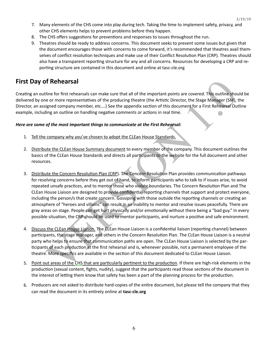- 7. Many elements of the CHS come into play during tech. Taking the time to implement safety, privacy, and other CHS elements helps to prevent problems before they happen.
- 8. The CHS offers suggestions for preventions and responses to issues throughout the run.
- 9. Theatres should be ready to address concerns. This document seeks to prevent some issues but given that the document encourages those with concerns to come forward, it's recommended that theatres avail themselves of conflict resolution techniques and make use of their Conflict Resolution Plan (CRP). Theatres should also have a transparent reporting structure for any and all concerns. Resources for developing a CRP and reporting structure are contained in this document and online at tasc-cle.org

# **First Day of Rehearsal**

Creating an outline for first rehearsals can make sure that all of the important points are covered. This outline should be delivered by one or more representatives of the producing theatre (the Artistic Director, the Stage Manager (SM), the Director, an assigned company member, etc....) See the appendix section of this document for a First Rehearsal Outline example, including an outline on handling negative comments or actions in real time.

#### *Here are some of the most important things to communicate at the First Rehearsal:*

- 1. Tell the company why you've chosen to adopt the CLEan House Standards.
- 2. Distribute the CLEan House Summary document to every member of the company. This document outlines the basics of the CLEan House Standards and directs all participants to the website for the full document and other resources.
- **If Rehearsal**<br>
eine for first rehearsals can make sure that all of the important points are covered. This outline should informed to the producing the late of the producing the compare in the particle producing the depend 3. Distribute the Concern Resolution Plan (CRP). The Concern Resolution Plan provides communication pathways for resolving concerns before they get out of hand, to inform participants who to talk to if issues arise, to avoid repeated unsafe practices, and to mentor those who violate boundaries. The Concern Resolution Plan and The CLEan House Liaison are designed to provide confidential reporting channels that support and protect everyone, including the person/s that create concern. Gossiping with those outside the reporting channels or creating an atmosphere of "heroes and villains" can result in an inability to mentor and resolve issues peacefully. There are gray areas on stage. People can get hurt physically and/or emotionally without there being a "bad guy." In every possible situation, the CRP should be used to mentor participants, and nurture a positive and safe environment.
- 4. Discuss the CLEan House Liaison. The CLEan House Liaison is a confidential liaison (reporting channel) between participants, the stage manager, and others in the Concern Resolution Plan. The CLEan House Liaison is a neutral party who helps to ensure that communication paths are open. The CLEan House Liaison is selected by the participants of each production at the first rehearsal and is, whenever possible, not a permanent employee of the theatre. More specifics are available in the section of this document dedicated to CLEan House Liaison.
- 5. Point out areas of the CHS that are particularly pertinent to the production. If there are high-risk elements in the production (sexual content, fights, nudity), suggest that the participants read those sections of the document in the interest of letting them know that safety has been a part of the planning process for the production.
- 6. Producers are not asked to distribute hard-copies of the entire document, but please tell the company that they can read the document in its entirety online at **tasc-cle.org**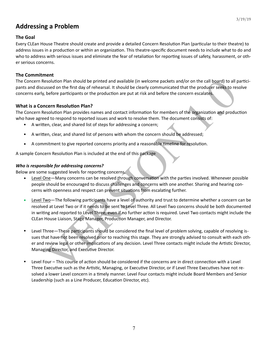# **Addressing a Problem**

### **The Goal**

Every CLEan House Theatre should create and provide a detailed Concern Resolution Plan (particular to their theatre) to address issues in a production or within an organization. This theatre-specific document needs to include what to do and who to address with serious issues and eliminate the fear of retaliation for reporting issues of safety, harassment, or other serious concerns.

### **The Commitment**

The Concern Resolution Plan should be printed and available (in welcome packets and/or on the call board) to all participants and discussed on the first day of rehearsal. It should be clearly communicated that the producer seeks to resolve concerns early, before participants or the production are put at risk and before the concern escalates.

### **What is a Concern Resolution Plan?**

The Concern Resolution Plan provides names and contact information for members of the organization and production who have agreed to respond to reported issues and work to resolve them. The document consists of:

- A written, clear, and shared list of steps for addressing a concern;
- A written, clear, and shared list of persons with whom the concern should be addressed;
- A commitment to give reported concerns priority and a reasonable timeline for resolution.

A sample Concern Resolution Plan is included at the end of this package

### *Who is responsible for addressing concerns?*

Below are some suggested levels for reporting concerns.

- Level One-Many concerns can be resolved through conversation with the parties involved. Whenever possible people should be encouraged to discuss challenges and concerns with one another. Sharing and hearing concerns with openness and respect can prevent situations from escalating further.
- esolution Plan should be printed and available (in welcome packets and/or on the call board) to all p<br>store on the first day of rehearaal. It should be clearly communicated that the producer<br>before participants or the prod Level Two—The following participants have a level of authority and trust to determine whether a concern can be resolved at Level Two or if it needs to be sent to Level Three. All Level Two concerns should be both documented in writing and reported to Level Three, even if no further action is required. Level Two contacts might include the CLEan House Liaison, Stage Manager, Production Manager, and Director.
- Level Three—These participants should be considered the final level of problem solving, capable of resolving issues that have not been resolved prior to reaching this stage. They are strongly advised to consult with each other and review legal or other implications of any decision. Level Three contacts might include the Artistic Director, Managing Director, and Executive Director.
- Level Four This course of action should be considered if the concerns are in direct connection with a Level Three Executive such as the Artistic, Managing, or Executive Director, or if Level Three Executives have not resolved a lower Level concern in a timely manner. Level Four contacts might include Board Members and Senior Leadership (such as a Line Producer, Education Director, etc).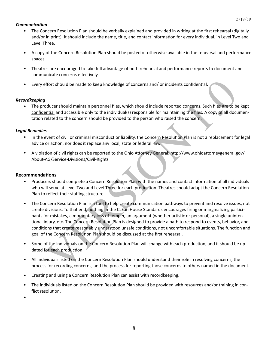### *<u>Communication</u>*

- The Concern Resolution Plan should be verbally explained and provided in writing at the first rehearsal (digitally and/or in print). It should include the name, title, and contact information for every individual. in Level Two and Level Three.
- A copy of the Concern Resolution Plan should be posted or otherwise available in the rehearsal and performance spaces.
- Theatres are encouraged to take full advantage of both rehearsal and performance reports to document and communicate concerns effectively.
- Every effort should be made to keep knowledge of concerns and/ or incidents confidential.

### *Recordkeeping*

The producer should maintain personnel files, which should include reported concerns. Such files are to be kept confidential and accessible only to the individual(s) responsible for maintaining the files. A copy of all documentation related to the concern should be provided to the person who raised the concern.

#### *Legal Remedies*

- In the event of civil or criminal misconduct or liability, the Concern Resolution Plan is not a replacement for legal advice or action, nor does it replace any local, state or federal law.
- A violation of civil rights can be reported to the Ohio Attorney General: http://www.ohioattorneygeneral.gov/ About-AG/Service-Divisions/Civil-Rights

#### **Recommendations**

- Producers should complete a Concern Resolution Plan with the names and contact information of all individuals who will serve at Level Two and Level Three for each production. Theatres should adapt the Concern Resolution Plan to reflect their staffing structure.
- ffort should be made to keep knowledge of concerns and/or incidents confidential.<br>
Diducer should maintain personnel files, which should include reported concerns. Such files are to be<br>
matial and accessible only to the in The Concern Resolution Plan is a tool to help create communication pathways to prevent and resolve issues, not create divisions. To that end, nothing in the CLEan House Standards encourages firing or marginalizing participants for mistakes, a momentary loss of temper, an argument (whether artistic or personal), a single unintentional injury, etc. The Concern Resolution Plan is designed to provide a path to respond to events, behavior, and conditions that create reasonably understood unsafe conditions, not uncomfortable situations. The function and goal of the Concern Resolution Plan should be discussed at the first rehearsal.
- Some of the individuals on the Concern Resolution Plan will change with each production, and it should be updated for each production.
- All individuals listed on the Concern Resolution Plan should understand their role in resolving concerns, the process for recording concerns, and the process for reporting those concerns to others named in the document.
- Creating and using a Concern Resolution Plan can assist with recordkeeping.
- The individuals listed on the Concern Resolution Plan should be provided with resources and/or training in conflict resolution.
- •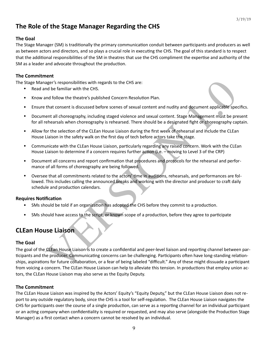# The Role of the Stage Manager Regarding the CHS

# **The Goal**

The Stage Manager (SM) is traditionally the primary communication conduit between participants and producers as well as between actors and directors, and so plays a crucial role in executing the CHS. The goal of this standard is to respect that the additional responsibilities of the SM in theatres that use the CHS compliment the expertise and authority of the SM as a leader and advocate throughout the production.

# **The Commitment**

The Stage Manager's responsibilities with regards to the CHS are:

- Read and be familiar with the CHS.
- Know and follow the theatre's published Concern Resolution Plan.
- Ensure that consent is discussed before scenes of sexual content and nudity and document applicable specifics.
- Document all choreography, including staged violence and sexual content. Stage Management must be present for all rehearsals when choreography is rehearsed. There should be a designated fight or choreography captain.
- Allow for the selection of the CLEan House Liaison during the first week of rehearsal and include the CLEan House Liaison in the safety walk on the first day of tech before actors take the stage.
- Communicate with the CLEan House Liaison, particularly regarding any raised concern. Work with the CLEan House Liaison to determine if a concern requires further action (i.e. – moving to Level 3 of the CRP)
- Document all concerns and report confirmation that procedures and protocols for the rehearsal and performance of all forms of choreography are being followed.
- Oversee that all commitments related to the actors' time in auditions, rehearsals, and performances are followed. This includes calling the announced breaks and working with the director and producer to craft daily schedule and production calendars.

# **Requires Notification**

- SMs should be told if an organization has adopted the CHS before they commit to a production.
- SMs should have access to the script, or known scope of a production, before they agree to participate

# **CLEan House Liaison**

### **The Goal**

ager's responsibilities with regards to the CHS are:<br>
Individual of familiar with the CHS.<br>
In dictar of the CHS (BU) distributed Concern Resolution Plan.<br>
In that consent is discussed before scenes of sexual content and n The goal of the CLEan House Liaison is to create a confidential and peer-level liaison and reporting channel between participants and the producer. Communicating concerns can be challenging. Participants often have long-standing relationships, aspirations for future collaboration, or a fear of being labeled "difficult." Any of these might dissuade a participant from voicing a concern. The CLEan House Liaison can help to alleviate this tension. In productions that employ union actors, the CLEan House Liaison may also serve as the Equity Deputy.

# **The Commitment**

The CLEan House Liaison was inspired by the Actors' Equity's "Equity Deputy," but the CLEan House Liaison does not report to any outside regulatory body, since the CHS is a tool for self-regulation. The CLEan House Liaison navigates the CHS for participants over the course of a single production, can serve as a reporting channel for an individual participant or an acting company when confidentiality is required or requested, and may also serve (alongside the Production Stage Manager) as a first contact when a concern cannot be resolved by an individual.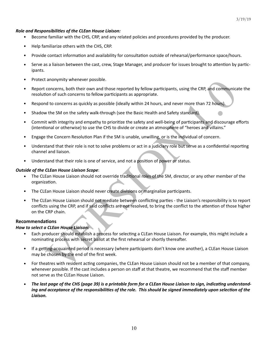#### **Role and Responsibilities of the CLEan House Liaison:**

- Become familiar with the CHS, CRP, and any related policies and procedures provided by the producer.
- Help familiarize others with the CHS, CRP.
- Provide contact information and availability for consultation outside of rehearsal/performance space/hours.
- Serve as a liaison between the cast, crew, Stage Manager, and producer for issues brought to attention by participants.
- Protect anonymity whenever possible.
- Report concerns, both their own and those reported by fellow participants, using the CRP, and communicate the resolution of such concerns to fellow participants as appropriate.
- Respond to concerns as quickly as possible (ideally within 24 hours, and never more than 72 hours).
- Shadow the SM on the safety walk-through (see the Basic Health and Safety standard).
- Commit with integrity and empathy to prioritize the safety and well-being of participants and discourage efforts (intentional or otherwise) to use the CHS to divide or create an atmosphere of "heroes and villains."
- Engage the Concern Resolution Plan if the SM is unable, unwilling, or is the individual of concern.
- Understand that their role is not to solve problems or act in a judiciary role but serve as a confidential reporting channel and liaison.
- Understand that their role is one of service, and not a position of power or status.

#### **Outside of the CLEan House Liaison Scope:**

- The CLEan House Liaison should not override traditional roles of the SM, director, or any other member of the organization.
- The CLEan House Liaison should never create divisions or marginalize participants.
- concerns, both their own and those reported by fellow participants, using the CRP, and communication of such concerns to fellow participants as appropriate.<br>
Concerns, both their own and those reported by fellow participan The CLEan House Liaison should not mediate between conflicting parties - the Liaison's responsibility is to report conflicts using the CRP, and if said conflicts are not resolved, to bring the conflict to the attention of those higher on the CRP chain.

#### **Recommendations**

#### *How to select a CLEan House Liaison:*

- Each producer should establish a process for selecting a CLEan House Liaison. For example, this might include a nominating process with secret ballot at the first rehearsal or shortly thereafter.
- If a getting-acquainted period is necessary (where participants don't know one another), a CLEan House Liaison may be chosen by the end of the first week.
- For theatres with resident acting companies, the CLEan House Liaison should not be a member of that company, whenever possible. If the cast includes a person on staff at that theatre, we recommend that the staff member not serve as the CLEan House Liaison.
- The last page of the CHS (page 39) is a printable form for a CLEan House Liaison to sign, indicating understand*ing and acceptance of the responsibilities of the role. This should be signed immediately upon selection of the Liaison.*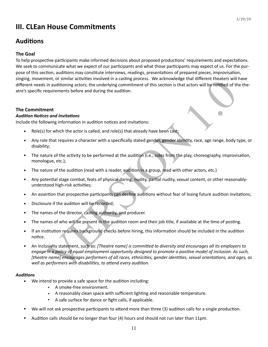# **III. CLEan House Commitments**

# **Auditions**

# **The Goal**

To help prospective participants make informed decisions about proposed productions' requirements and expectations. We seek to communicate what we expect of our participants and what those participants may expect of us. For the purpose of this section, auditions may constitute interviews, readings, presentations of prepared pieces, improvisation, singing, movement, or similar activities involved in a casting process. We acknowledge that different theaters will have different needs in auditioning actors; the underlying commitment of this section is that actors will be notified of the theatre's specific requirements before and during the audition.

### **The Commitment**

### **Audition Notices and Invitations**

Include the following information in audition notices and invitations:

- Role(s) for which the actor is called, and role(s) that already have been cast;
- Any role that requires a character with a specifically stated gender, gender identity, race, age range, body type, or disability;
- The nature of the activity to be performed at the audition (i.e., sides from the play, choreography, improvisation, monologue, etc.);
- The nature of the audition (read with a reader, audition in a group, read with other actors, etc.)
- Any potential stage combat, feats of physical daring, nudity, partial nudity, sexual content, or other reasonablyunderstood high-risk activities;
- An assertion that prospective participants can decline auditions without fear of losing future audition invitations;
- Disclosure if the audition will be recorded;
- The names of the director, casting authority, and producer.
- The names of who will be present in the audition room and their job title, if available at the time of posting.
- If an institution requires background checks before hiring, this information should be included in the audition notice.
- Final recovers and the matter power and activity energy process. We acknowledge that one with the metric metric<br>in auditoning actors; the underlying committent of this section is that actors will be notified of the<br>quireme An inclusivity statement, such as: [Theatre name] is committed to diversity and encourages all its employers to *engage* in a policy of equal employment opportunity designed to promote a positive model of inclusion. As such, [theatre name] encourages performers of all races, ethnicities, gender identities, sexual orientations, and ages, as well as performers with disabilities, to attend every audition.

### **Auditions**

- We intend to provide a safe space for the audition including:
	- **•** A smoke-free environment.
	- **•** A reasonably clean space with sufficient lighting and reasonable temperature.
	- A safe surface for dance or fight calls, if applicable.
- We will not ask prospective participants to attend more than three (3) audition calls for a single production.
- Audition calls should be no longer than four (4) hours and should not run later than 11pm.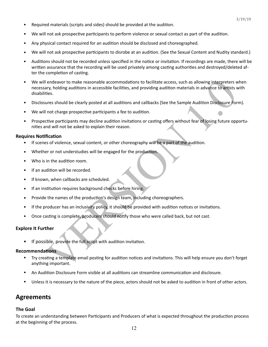- Required materials (scripts and sides) should be provided at the audition.
- We will not ask prospective participants to perform violence or sexual contact as part of the audition.
- Any physical contact required for an audition should be disclosed and choreographed.
- We will not ask prospective participants to disrobe at an audition. (See the Sexual Content and Nudity standard.)
- Auditions should not be recorded unless specified in the notice or invitation. If recordings are made, there will be written assurance that the recording will be used privately among casting authorities and destroyed/deleted after the completion of casting.
- Lendeavor to make reasonable accommodations to facilitate access, such as allowing interpreters we<br>sixty, holding auditions in accessible facilities, and providing audition materials in advance to artists we<br>tes.<br>tes.<br>tes We will endeavor to make reasonable accommodations to facilitate access, such as allowing interpreters when necessary, holding auditions in accessible facilities, and providing audition materials in advance to artists with disabilities.
- Disclosures should be clearly posted at all auditions and callbacks (See the Sample Audition Disclosure Form).
- We will not charge prospective participants a fee to audition.
- Prospective participants may decline audition invitations or casting offers without fear of losing future opportunities and will not be asked to explain their reason.

#### **Requires Notification**

- If scenes of violence, sexual content, or other choreography will be a part of the audition.
- Whether or not understudies will be engaged for the production.
- Who is in the audition room.
- If an audition will be recorded.
- If known, when callbacks are scheduled.
- If an institution requires background checks before hiring.
- Provide the names of the production's design team, including choreographers.
- If the producer has an inclusivity policy, it should be provided with audition notices or invitations.
- Once casting is complete, producers should notify those who were called back, but not cast.

#### **Explore It Further**

If possible, provide the full script with audition invitation.

#### **Recommendations**

- Try creating a template email posting for audition notices and invitations. This will help ensure you don't forget anything important.
- An Audition Disclosure Form visible at all auditions can streamline communication and disclosure.
- Unless it is necessary to the nature of the piece, actors should not be asked to audition in front of other actors.

# **Agreements**

#### **The Goal**

To create an understanding between Participants and Producers of what is expected throughout the production process at the beginning of the process.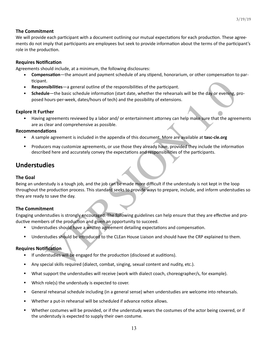### **The Commitment**

We will provide each participant with a document outlining our mutual expectations for each production. These agreements do not imply that participants are employees but seek to provide information about the terms of the participant's role in the production.

#### **Requires Notification**

Agreements should include, at a minimum, the following disclosures:

- **Compensation**—the amount and payment schedule of any stipend, honorarium, or other compensation to participant.
- **Responsibilities**—a general outline of the responsibilities of the participant.
- **Schedule**—the basic schedule information (start date, whether the rehearsals will be the day or evening, proposed hours-per-week, dates/hours of tech) and the possibility of extensions.

#### **Explore It Further**

• Having agreements reviewed by a labor and/ or entertainment attorney can help make sure that the agreements are as clear and comprehensive as possible.

#### **Recommendations**

- A sample agreement is included in the appendix of this document. More are available at **tasc-cle.org**
- Producers may customize agreements, or use those they already have, provided they include the information described here and accurately convey the expectations and responsibilities of the participants.

# **Understudies**

#### **The Goal**

t.<br>
is instillities —a general outline of the responsibilities of the participant.<br>
Isibilities —a general outline mation (start date, whether the rehearsals will be the day or evening, provide<br>
Internal the maticipal of t Being an understudy is a tough job, and the job can be made more difficult if the understudy is not kept in the loop throughout the production process. This standard seeks to provide ways to prepare, include, and inform understudies so they are ready to save the day.

### **The Commitment**

Engaging understudies is strongly encouraged. The following guidelines can help ensure that they are effective and productive members of the production and given an opportunity to succeed.

- Understudies should have a written agreement detailing expectations and compensation.
- Understudies should be introduced to the CLEan House Liaison and should have the CRP explained to them.

### **Requires Notification**

- If understudies will be engaged for the production (disclosed at auditions).
- Any special skills required (dialect, combat, singing, sexual content and nudity, etc.).
- What support the understudies will receive (work with dialect coach, choreographer/s, for example).
- Which role(s) the understudy is expected to cover.
- General rehearsal schedule including (in a general sense) when understudies are welcome into rehearsals.
- Whether a put-in rehearsal will be scheduled if advance notice allows.
- Whether costumes will be provided, or if the understudy wears the costumes of the actor being covered, or if the understudy is expected to supply their own costume.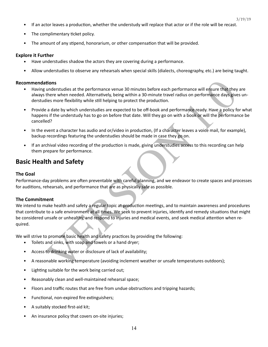- If an actor leaves a production, whether the understudy will replace that actor or if the role will be recast.
- The complimentary ticket policy.
- The amount of any stipend, honorarium, or other compensation that will be provided.

#### **Explore it Further**

- Have understudies shadow the actors they are covering during a performance.
- Allow understudies to observe any rehearsals when special skills (dialects, choreography, etc.) are being taught.

#### **Recommendations**

- Having understudies at the performance venue 30 minutes before each performance will ensure that they are always there when needed. Alternatively, being within a 30-minute travel radius on performance days gives understudies more flexibility while still helping to protect the production.
- Provide a date by which understudies are expected to be off-book and performance ready. Have a policy for what happens if the understudy has to go on before that date. Will they go on with a book or will the performance be cancelled?
- In the event a character has audio and or/video in production, (If a character leaves a voice mail, for example), backup recordings featuring the understudies should be made in case they go on.
- If an archival video recording of the production is made, giving understudies access to this recording can help them prepare for performance.

# **Basic Health and Safety**

#### **The Goal**

Performance-day problems are often preventable with careful planning, and we endeavor to create spaces and processes for auditions, rehearsals, and performance that are as physically safe as possible.

#### **The Commitment**

**tions**<br>
utions<br>
understudies at the performance venue 30 minutes before each performance will ensure that they<br>
unters when needed. Alternatively, being within a 30-minute travel radius on performance days give<br>
lies more We intend to make health and safety a regular topic at production meetings, and to maintain awareness and procedures that contribute to a safe environment at all times. We seek to prevent injuries, identify and remedy situations that might be considered unsafe or unhealthy, and respond to injuries and medical events, and seek medical attention when required. 

We will strive to promote basic health and safety practices by providing the following:

- Toilets and sinks, with soap and towels or a hand dryer;
- Access to drinking water or disclosure of lack of availability;
- A reasonable working temperature (avoiding inclement weather or unsafe temperatures outdoors);
- Lighting suitable for the work being carried out;
- Reasonably clean and well-maintained rehearsal space;
- Floors and traffic routes that are free from undue obstructions and tripping hazards;
- Functional, non-expired fire extinguishers;
- A suitably stocked first-aid kit;
- An insurance policy that covers on-site injuries;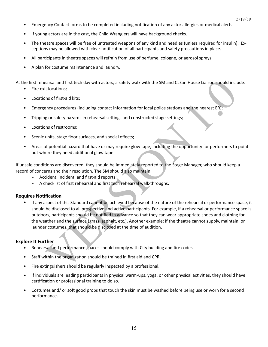- Emergency Contact forms to be completed including notification of any actor allergies or medical alerts.
- If young actors are in the cast, the Child Wranglers will have background checks.
- The theatre spaces will be free of untreated weapons of any kind and needles (unless required for insulin). Exceptions may be allowed with clear notification of all participants and safety precautions in place.
- All participants in theatre spaces will refrain from use of perfume, cologne, or aerosol sprays.
- A plan for costume maintenance and laundry.

At the first rehearsal and first tech day with actors, a safety walk with the SM and CLEan House Liaison should include:

- Fire exit locations;
- Locations of first-aid kits:
- Emergency procedures (including contact information for local police stations and the nearest ER);
- Tripping or safety hazards in rehearsal settings and constructed stage settings;
- Locations of restrooms;
- Scenic units, stage floor surfaces, and special effects;
- Areas of potential hazard that have or may require glow tape, including the opportunity for performers to point out where they need additional glow tape.

If unsafe conditions are discovered, they should be immediately reported to the Stage Manager, who should keep a record of concerns and their resolution. The SM should also maintain:

- **EXECT** Accident, incident, and first-aid reports;
- **EXEC** A checklist of first rehearsal and first tech rehearsal walk-throughs.

#### **Requires Notification**

carsal and first tech day with actors, a safety walk with the SM and CLEan House Liaison should included<br>to locations;<br>nos of first-aid kits;<br>not special with the small contact information for local police stations and the If any aspect of this Standard cannot be achieved because of the nature of the rehearsal or performance space, it should be disclosed to all prospective and active participants. For example, if a rehearsal or performance space is outdoors, participants should be notified in advance so that they can wear appropriate shoes and clothing for the weather and the surface (grass, asphalt, etc.). Another example: if the theatre cannot supply, maintain, or launder costumes, that should be disclosed at the time of audition.

#### **Explore It Further**

- Rehearsal and performance spaces should comply with City building and fire codes.
- Staff within the organization should be trained in first aid and CPR.
- $\bullet$  Fire extinguishers should be regularly inspected by a professional.
- If individuals are leading participants in physical warm-ups, yoga, or other physical activities, they should have certification or professional training to do so.
- Costumes and/ or soft good props that touch the skin must be washed before being use or worn for a second performance.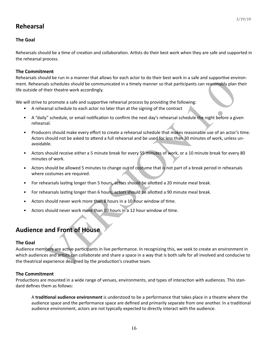# **Rehearsal**

### **The Goal**

Rehearsals should be a time of creation and collaboration. Artists do their best work when they are safe and supported in the rehearsal process.

### **The Commitment**

Rehearsals should be run in a manner that allows for each actor to do their best work in a safe and supportive environment. Rehearsals schedules should be communicated in a timely manner so that participants can reasonably plan their life outside of their theatre work accordingly.

We will strive to promote a safe and supportive rehearsal process by providing the following:

- A rehearsal schedule to each actor no later than at the signing of the contract
- A "daily" schedule, or email notification to confirm the next day's rehearsal schedule the night before a given rehearsal.
- Producers should make every effort to create a rehearsal schedule that makes reasonable use of an actor's time. Actors should not be asked to attend a full rehearsal and be used for less than 30 minutes of work, unless unavoidable.
- Actors should receive either a 5 minute break for every 55 minutes of work, or a 10 minute break for every 80 minutes of work.
- Actors should be allowed 5 minutes to change out of costume that is not part of a break period in rehearsals where costumes are required.
- For rehearsals lasting longer than 5 hours, actors should be allotted a 20 minute meal break.
- For rehearsals lasting longer than 6 hours, actors should be allotted a 90 minute meal break.
- Actors should never work more than 8 hours in a 10 hour window of time.
- Actors should never work more than 10 hours in a 12 hour window of time.

# **Audience and Front of House**

#### **The Goal**

and **Errorit and Exploration** in the convertion of the same and supportive entroined that should be communicated in a timely manner so that participants can reasonably planties that stredules should be communicated in a ti Audience members are active participants in live performance. In recognizing this, we seek to create an environment in which audiences and artists can collaborate and share a space in a way that is both safe for all involved and conducive to the theatrical experience designed by the production's creative team.

#### **The Commitment**

Productions are mounted in a wide range of venues, environments, and types of interaction with audiences. This standard defines them as follows:

A **traditional audience environment** is understood to be a performance that takes place in a theatre where the audience space and the performance space are defined and primarily separate from one another. In a traditional audience environment, actors are not typically expected to directly interact with the audience.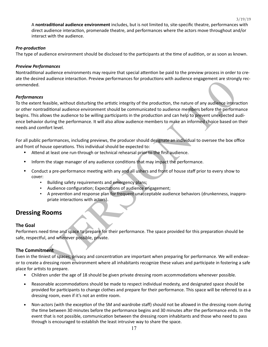A nontraditional audience environment includes, but is not limited to, site-specific theatre, performances with direct audience interaction, promenade theatre, and performances where the actors move throughout and/or interact with the audience.

3/19/19

### **Pre-production**

The type of audience environment should be disclosed to the participants at the time of audition, or as soon as known.

### *Preview Performances*

Nontraditional audience environments may require that special attention be paid to the preview process in order to create the desired audience interaction. Preview performances for productions with audience engagement are strongly recommended. 

### *Performances*

adiatelne interaction. Preview performances for productions with audience engagement are strong<br>assible, without disturbing the artistic integrity of the production, the nature of any audience interaction<br>was the audience To the extent feasible, without disturbing the artistic integrity of the production, the nature of any audience interaction or other nontraditional audience environment should be communicated to audience members before the performance begins. This allows the audience to be willing participants in the production and can help to prevent unexpected audience behavior during the performance. It will also allow audience members to make an informed choice based on their needs and comfort level. 

For all public performances, including previews, the producer should designate an individual to oversee the box office and front of house operations. This individual should be expected to:

- Attend at least one run-through or technical rehearsal prior to the first audience.
- Inform the stage manager of any audience conditions that may impact the performance.
- Conduct a pre-performance meeting with any and all ushers and front of house staff prior to every show to cover:
	- Building safety requirements and emergency plans;
	- **•** Audience configuration; Expectations of audience engagement;
	- A prevention and response plan for frequent unacceptable audience behaviors (drunkenness, inappropriate interactions with actors).

# **Dressing Rooms**

### **The Goal**

Performers need time and space to prepare for their performance. The space provided for this preparation should be safe, respectful, and wherever possible, private.

# **The Commitment**

Even in the tiniest of spaces, privacy and concentration are important when preparing for performance. We will endeavor to create a dressing room environment where all inhabitants recognize these values and participate in fostering a safe place for artists to prepare.

- Children under the age of 18 should be given private dressing room accommodations whenever possible.
- Reasonable accommodations should be made to respect individual modesty, and designated space should be provided for participants to change clothes and prepare for their performance. This space will be referred to as a dressing room, even if it's not an entire room.
- Non-actors (with the exception of the SM and wardrobe staff) should not be allowed in the dressing room during the time between 30 minutes before the performance begins and 30 minutes after the performance ends. In the event that is not possible, communication between the dressing room inhabitants and those who need to pass through is encouraged to establish the least intrusive way to share the space.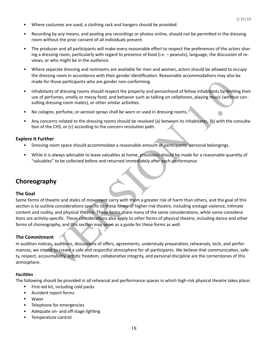- Where costumes are used, a clothing rack and hangers should be provided.
- Recording by any means, and posting any recordings or photos online, should not be permitted in the dressing room without the prior consent of all individuals present.
- The producer and all participants will make every reasonable effort to respect the preferences of the actors sharing a dressing room, particularly with regard to presence of food (i.e.  $-$  peanuts), language, the discussion of reviews, or who might be in the audience.
- Where separate dressing and restrooms are available for men and women, actors should be allowed to occupy the dressing room in accordance with their gender identification. Reasonable accommodations may also be made for those participants who are gender non-conforming.
- Inhabitants of dressing rooms should respect the property and personhood of fellow inhabitants by limiting their use of perfumes, smelly or messy food, and behavior such as talking on cellphones, playing music (without consulting dressing room mates), or other similar activities.
- No cologne, perfume, or aerosol sprays shall be worn or used in dressing rooms.
- Any concerns related to the dressing rooms should be resolved (a) between its inhabitants, (b) with the consultation of the CHS, or (c) according to the concern resolution path.

### **Explore It Further**

- Dressing room space should accommodate a reasonable amount of participants' personal belongings.
- While it is always advisable to leave valuables at home, provisions should be made for a reasonable quantity of "valuables" to be collected before and returned immediately after each performance.

# **Choreography**

#### **The Goal**

or those participants who are gender non-conforming.<br>
Som to detesing rooms should respect the property and personhood of fellow inhabitants by limiting<br>
perfumes, smelly or messy food, and behavior such as talking on cell Some forms of theatre and styles of movement carry with them a greater risk of harm than others, and the goal of this section is to outline considerations specific to these forms of higher-risk theatre, including onstage violence, intimate content and nudity, and physical theatre. These forms share many of the same considerations, while some considerations are activity-specific. These considerations also apply to other forms of physical theatre, including dance and other forms of choreography, and this section may serve as a guide for these forms as well.

### **The Commitment**

In audition notices, auditions, discussions of offers, agreements, understudy preparation, rehearsals, tech, and performances, we intend to create a safe and respectful atmosphere for all participants. We believe that communication, safety, respect, accountability, artistic freedom, collaborative integrity, and personal discipline are the cornerstones of this atmosphere. 

#### **Facilities**

The following should be provided in all rehearsal and performance spaces in which high-risk physical theatre takes place:

- First-aid kit, including cold packs
- Accident report forms
- Water
- Telephone for emergencies
- Adequate on- and off-stage lighting
- Temperature control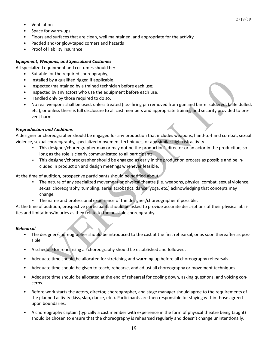3/19/19

- **Ventilation**
- Space for warm-ups
- Floors and surfaces that are clean, well maintained, and appropriate for the activity
- Padded and/or glow-taped corners and hazards
- Proof of liability insurance

#### **Equipment, Weapons, and Specialized Costumes**

All specialized equipment and costumes should be:

- Suitable for the required choreography;
- Installed by a qualified rigger, if applicable;
- Inspected/maintained by a trained technician before each use;
- Inspected by any actors who use the equipment before each use.
- Handled only by those required to do so.
- No real weapons shall be used, unless treated (i.e.- firing pin removed from gun and barrel soldered, knife dulled, etc.), or unless there is full disclosure to all cast members and appropriate training and security provided to prevent harm.

#### **Preproduction and Auditions**

A designer or choreographer should be engaged for any production that includes weapons, hand-to-hand combat, sexual violence, sexual choreography, specialized movement techniques, or any similar high-risk activity

- This designer/choreographer may or may not be the production's director or an actor in the production, so long as the role is clearly communicated to all participants.
- . This designer/choreographer should be engaged as early in the production process as possible and be included in production and design meetings whenever feasible.

At the time of audition, prospective participants should be notified about:

- d by a qualified rigger, if applicable;<br>each was madined by a raised technician before each use;<br>ed by any actors who use the equipment before each use;<br>ed by any actors who use the equipment before each use;<br>ed by any act The nature of any specialized movement or physical theatre (i.e. weapons, physical combat, sexual violence, sexual choreography, tumbling, aerial acrobatics, dance, yoga, etc.) acknowledging that concepts may change.
- **•** The name and professional experience of the designer/choreographer if possible.

At the time of audition, prospective participants should be asked to provide accurate descriptions of their physical abilities and limitations/injuries as they relate to the possible choreography.

#### *Rehearsal*

- The designer/choreographer should be introduced to the cast at the first rehearsal, or as soon thereafter as possible.
- A schedule for rehearsing all choreography should be established and followed.
- Adequate time should be allocated for stretching and warming up before all choreography rehearsals.
- Adequate time should be given to teach, rehearse, and adjust all choreography or movement techniques.
- Adequate time should be allocated at the end of rehearsal for cooling down, asking questions, and voicing concerns.
- Before work starts the actors, director, choreographer, and stage manager should agree to the requirements of the planned activity (kiss, slap, dance, etc.). Participants are then responsible for staying within those agreedupon boundaries.
- A choreography captain (typically a cast member with experience in the form of physical theatre being taught) should be chosen to ensure that the choreography is rehearsed regularly and doesn't change unintentionally.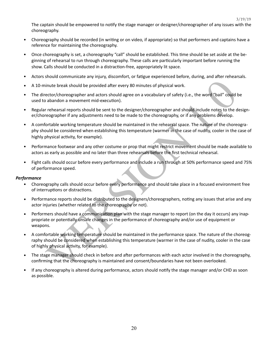The captain should be empowered to notify the stage manager or designer/choreographer of any issues with the choreography. 

- Choreography should be recorded (in writing or on video, if appropriate) so that performers and captains have a reference for maintaining the choreography.
- Once choreography is set, a choreography "call" should be established. This time should be set aside at the beginning of rehearsal to run through choreography. These calls are particularly important before running the show. Calls should be conducted in a distraction-free, appropriately lit space.
- Actors should communicate any injury, discomfort, or fatigue experienced before, during, and after rehearsals.
- A 10-minute break should be provided after every 80 minutes of physical work.
- The director/choreographer and actors should agree on a vocabulary of safety (i.e., the word "bail" could be used to abandon a movement mid-execution).
- Regular rehearsal reports should be sent to the designer/choreographer and should include notes to the designer/choreographer if any adjustments need to be made to the choreography, or if any problems develop.
- inute break should be provided after every 80 minutes of physical work.<br>
ector/choreographer and actors should agree on a vocabulary of safety (i.e., the word "bail" could<br>
a abandon a movement mid-execution).<br>
Trehensial A comfortable working temperature should be maintained in the rehearsal space. The nature of the choreography should be considered when establishing this temperature (warmer in the case of nudity, cooler in the case of highly physical activity, for example).
- Performance footwear and any other costume or prop that might restrict movement should be made available to actors as early as possible and no later than three rehearsals before the first technical rehearsal.
- Fight calls should occur before every performance and include a run through at 50% performance speed and 75% of performance speed.

#### *Performance*

- Choreography calls should occur before every performance and should take place in a focused environment free of interruptions or distractions.
- Performance reports should be distributed to the designers/choreographers, noting any issues that arise and any actor injuries (whether related to the choreography or not).
- Performers should have a communication plan with the stage manager to report (on the day it occurs) any inappropriate or potentially unsafe changes in the performance of choreography and/or use of equipment or weapons.
- A comfortable working temperature should be maintained in the performance space. The nature of the choreography should be considered when establishing this temperature (warmer in the case of nudity, cooler in the case of highly physical activity, for example).
- The stage manager should check in before and after performances with each actor involved in the choreography, confirming that the choreography is maintained and consent/boundaries have not been overlooked.
- If any choreography is altered during performance, actors should notify the stage manager and/or CHD as soon as possible.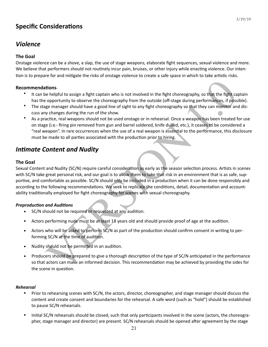# **Specific Considerations**

# *Violence*

# **The Goal**

Onstage violence can be a shove, a slap, the use of stage weapons, elaborate fight sequences, sexual violence and more. We believe that performers should not routinely incur pain, bruises, or other injury while enacting violence. Our intention is to prepare for and mitigate the risks of onstage violence to create a safe space in which to take artistic risks.

### **Recommendations-**

- It can be helpful to assign a fight captain who is not involved in the fight choreography, so that the fight captain has the opportunity to observe the choreography from the outside (off-stage during performances, if possible).
- The stage manager should have a good line of sight to any fight choreography so that they can monitor and discuss any changes during the run of the show.
- As a practice, real weapons should not be used onstage or in rehearsal. Once a weapon has been treated for use on stage (i.e.- firing pin removed from gun and barrel soldered, knife dulled, etc.), it ceases to be considered a "real weapon". In rare occurrences when the use of a real weapon is essential to the performance, this disclosure must be made to all parties associated with the production prior to hiring.

# *Intimate Content and Nudity*

# **The Goal**

**tions**<br>
tions<br>
the helpful to assign a fight captain who is not involved in the fight choreography, so that the fight cap<br>
o poportunity to observe the choreography from the outside (off-stage during performances, if poss Sexual Content and Nudity (SC/N) require careful consideration as early as the season selection process. Artists in scenes with SC/N take great personal risk, and our goal is to allow them to take that risk in an environment that is as safe, supportive, and comfortable as possible. SC/N should only be included in a production when it can be done responsibly and according to the following recommendations. We seek to replicate the conditions, detail, documentation and accountability traditionally employed for fight choreography for scenes with sexual choreography.

# **Preproduction and Auditions**

- SC/N should not be required or requested at any audition.
- Actors performing nude must be at least 18 years old and should provide proof of age at the audition.
- Actors who will be asked to perform SC/N as part of the production should confirm consent in writing to performing SC/N at the time of audition.
- Nudity should not be permitted in an audition.
- Producers should be prepared to give a thorough description of the type of SC/N anticipated in the performance so that actors can make an informed decision. This recommendation may be achieved by providing the sides for the scene in question.

### *Rehearsal*

- Prior to rehearsing scenes with SC/N, the actors, director, choreographer, and stage manager should discuss the content and create consent and boundaries for the rehearsal. A safe word (such as "hold") should be established to pause SC/N rehearsals.
- Initial SC/N rehearsals should be closed, such that only participants involved in the scene (actors, the choreographer, stage manager and director) are present. SC/N rehearsals should be opened after agreement by the stage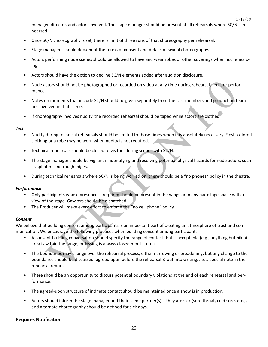3/19/19

manager, director, and actors involved. The stage manager should be present at all rehearsals where SC/N is rehearsed. 

- Once SC/N choreography is set, there is limit of three runs of that choreography per rehearsal.
- Stage managers should document the terms of consent and details of sexual choreography.
- Actors performing nude scenes should be allowed to have and wear robes or other coverings when not rehearsing.
- Actors should have the option to decline SC/N elements added after audition disclosure.
- Nude actors should not be photographed or recorded on video at any time during rehearsal, tech, or performance.
- Notes on moments that include SC/N should be given separately from the cast members and production team not involved in that scene.
- If choreography involves nudity, the recorded rehearsal should be taped while actors are clothed.

#### *Tech*

- Nudity during technical rehearsals should be limited to those times when it is absolutely necessary. Flesh-colored clothing or a robe may be worn when nudity is not required.
- Technical rehearsals should be closed to visitors during scenes with SC/N.
- The stage manager should be vigilant in identifying and resolving potential physical hazards for nude actors, such as splinters and rough edges.
- During technical rehearsals where SC/N is being worked on, there should be a "no phones" policy in the theatre.

#### **Performance**

- Only participants whose presence is required should be present in the wings or in any backstage space with a view of the stage. Gawkers should be dispatched.
- The Producer will make every effort to enforce the "no cell phone" policy.

#### *Consent*

We believe that building consent among participants is an important part of creating an atmosphere of trust and communication. We encourage the following practices when building consent among participants:

- A consent-building conversation should specify the range of contact that is acceptable (e.g., anything but bikini area is within the range, or kissing is always closed mouth, etc.).
- ctors should not be photographed or recorded on video at any time during rehearsal, tech, or perform<br>on moments that include SC/N should be given separately from the cast members and production to<br>be obted in that scene.<br>E The boundaries may change over the rehearsal process, either narrowing or broadening, but any change to the boundaries should be discussed, agreed upon before the rehearsal & put into writing. *i.e.* a special note in the rehearsal report.
- There should be an opportunity to discuss potential boundary violations at the end of each rehearsal and performance.
- The agreed-upon structure of intimate contact should be maintained once a show is in production.
- Actors should inform the stage manager and their scene partner(s) if they are sick (sore throat, cold sore, etc.), and alternate choreography should be defined for sick days.

### **Requires Notification**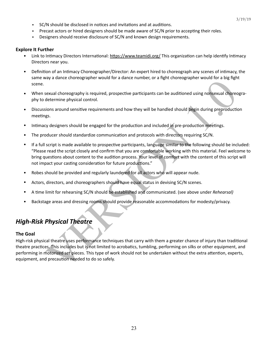- **SC/N** should be disclosed in notices and invitations and at auditions.
- . Precast actors or hired designers should be made aware of SC/N prior to accepting their roles.
- **•** Designers should receive disclosure of SC/N and known design requirements.

### **Explore It Further**

- Link to Intimacy Directors International: https://www.teamidi.org/ This organization can help identify Intimacy Directors near you.
- Definition of an Intimacy Choreographer/Director: An expert hired to choreograph any scenes of intimacy, the same way a dance choreographer would for a dance number, or a fight choreographer would for a big fight scene.
- When sexual choreography is required, prospective participants can be auditioned using nonsexual choreography to determine physical control.
- Discussions around sensitive requirements and how they will be handled should begin during preproduction meetings.
- Intimacy designers should be engaged for the production and included in pre-production meetings.
- The producer should standardize communication and protocols with directors requiring SC/N.
- Sexual choreography is required, prospective participants can be auditioned using nonsexual choreography is required. The state intimeter, or a ngin choreography around on a significant determine physical control.<br>
gestar If a full script is made available to prospective participants, language similar to the following should be included: "Please read the script closely and confirm that you are comfortable working with this material. Feel welcome to bring questions about content to the audition process. Your level of comfort with the content of this script will not impact your casting consideration for future productions."
- Robes should be provided and regularly laundered for all actors who will appear nude.
- Actors, directors, and choreographers should have equal status in devising SC/N scenes.
- A time limit for rehearsing SC/N should be established and communicated. (see above under *Rehearsal*)
- Backstage areas and dressing rooms should provide reasonable accommodations for modesty/privacy.

# *High-Risk Physical Theatre*

### **The Goal**

High-risk physical theatre uses performance techniques that carry with them a greater chance of injury than traditional theatre practices. This includes but is not limited to acrobatics, tumbling, performing on silks or other equipment, and performing in motorized set pieces. This type of work should not be undertaken without the extra attention, experts, equipment, and precaution needed to do so safely.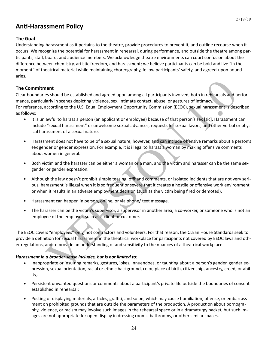# **Anti-Harassment Policy**

### **The Goal**

Understanding harassment as it pertains to the theatre, provide procedures to prevent it, and outline recourse when it occurs. We recognize the potential for harassment in rehearsal, during performance, and outside the theatre among participants, staff, board, and audience members. We acknowledge theatre environments can court confusion about the difference between chemistry, artistic freedom, and harassment; we believe participants can be bold and live "in the moment" of theatrical material while maintaining choreography, fellow participants' safety, and agreed-upon boundaries. 

### **The Commitment**

**nent**<br>nent<br>ses should be established and agreed upon among all participants involved, both in reflearsals and play<br>hardy in scenes depicting violence, sex, intimate contact, abuse, or gestures of intimacy.<br>Hacketorording Clear boundaries should be established and agreed upon among all participants involved, both in rehearsals and performance, particularly in scenes depicting violence, sex, intimate contact, abuse, or gestures of intimacy. For reference, according to the U.S. Equal Employment Opportunity Commission (EEOC), sexual harassment is described as follows:

- It is unlawful to harass a person (an applicant or employee) because of that person's sex [sic]. Harassment can include "sexual harassment" or unwelcome sexual advances, requests for sexual favors, and other verbal or physical harassment of a sexual nature.
- Harassment does not have to be of a sexual nature, however, and can include offensive remarks about a person's sex gender or gender expression. For example, it is illegal to harass a woman by making offensive comments about women in general.
- Both victim and the harasser can be either a woman or a man, and the victim and harasser can be the same sex gender or gender expression.
- Although the law doesn't prohibit simple teasing, offhand comments, or isolated incidents that are not very serious, harassment is illegal when it is so frequent or severe that it creates a hostile or offensive work environment or when it results in an adverse employment decision (such as the victim being fired or demoted).
- Harassment can happen in person, online, or via phone/ text message.
- The harasser can be the victim's supervisor, a supervisor in another area, a co-worker, or someone who is not an employee of the employer, such as a client or customer.

The EEOC covers "employees" only, not contractors and volunteers. For that reason, the CLEan House Standards seek to provide a definition for sexual harassment in the theatrical workplace for participants not covered by EEOC laws and other regulations, and to provide an understanding of and sensitivity to the nuances of a theatrical workplace.

### Harassment in a broader sense includes, but is not limited to:

- Inappropriate or insulting remarks, gestures, jokes, innuendoes, or taunting about a person's gender, gender expression, sexual orientation, racial or ethnic background, color, place of birth, citizenship, ancestry, creed, or ability;
- Persistent unwanted questions or comments about a participant's private life outside the boundaries of consent established in rehearsal;
- Posting or displaying materials, articles, graffiti, and so on, which may cause humiliation, offense, or embarrassment on prohibited grounds that are outside the parameters of the production. A production about pornography, violence, or racism may involve such images in the rehearsal space or in a dramaturgy packet, but such images are not appropriate for open display in dressing rooms, bathrooms, or other similar spaces.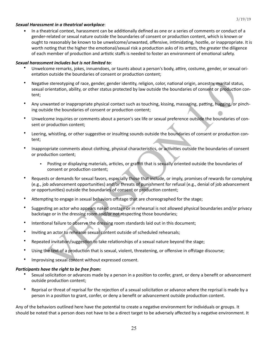#### **Sexual Harassment in a theatrical workplace:**

In a theatrical context, harassment can be additionally defined as one or a series of comments or conduct of a gender-related or sexual nature outside the boundaries of consent or production content, which is known or ought to reasonably be known to be unwelcome/unwanted, offensive, intimidating, hostile, or inappropriate. It is worth noting that the higher the emotional/sexual risk a production asks of its artists, the greater the diligence of each member of production and artistic staffs is needed to foster an environment of emotional safety.

#### Sexual harassment includes but is not limited to:

- Unwelcome remarks, jokes, innuendoes, or taunts about a person's body, attire, costume, gender, or sexual orientation outside the boundaries of consent or production content;
- Negative stereotyping of race, gender, gender identity, religion, color, national origin, ancestry, marital status, sexual orientation, ability, or other status protected by law outside the boundaries of consent or production content;
- Any unwanted or inappropriate physical contact such as touching, kissing, massaging, patting, hugging, or pinching outside the boundaries of consent or production content;
- Unwelcome inquiries or comments about a person's sex life or sexual preference outside the boundaries of consent or production content;
- Leering, whistling, or other suggestive or insulting sounds outside the boundaries of consent or production content;
- Inappropriate comments about clothing, physical characteristics, or activities outside the boundaries of consent or production content;
	- Posting or displaying materials, articles, or graffiti that is sexually oriented outside the boundaries of consent or production content;
- is a estrectyping of race, gender, gender identity, religion, color, national origin, ancestry, marital station-<br>Individual station and the buondaries of consent or production-<br>a station, ability, or other status protected Requests or demands for sexual favors, especially those that include, or imply, promises of rewards for complying (e.g., job advancement opportunities) and/or threats of punishment for refusal (e.g., denial of job advancement or opportunities) outside the boundaries of consent or production content;
- Attempting to engage in sexual behaviors offstage that are choreographed for the stage;
- Suggesting an actor who appears naked onstage or in rehearsal is not allowed physical boundaries and/or privacy backstage or in the dressing room and/or not respecting those boundaries;
- Intentional failure to observe the dressing room standards laid out in this document;
- Inviting an actor to rehearse sexual content outside of scheduled rehearsals;
- Repeated invitation/suggestion to take relationships of a sexual nature beyond the stage;
- Using the text of a production that is sexual, violent, threatening, or offensive in offstage discourse;
- Improvising sexual content without expressed consent.

#### *Participants have the right to be free from:*

- Sexual solicitation or advances made by a person in a position to confer, grant, or deny a benefit or advancement outside production content;
- Reprisal or threat of reprisal for the rejection of a sexual solicitation or advance where the reprisal is made by a person in a position to grant, confer, or deny a benefit or advancement outside production content.

Any of the behaviors outlined here have the potential to create a negative environment for individuals or groups. It should be noted that a person does not have to be a direct target to be adversely affected by a negative environment. It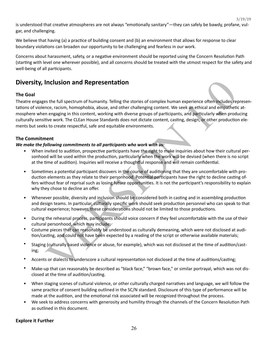3/19/19

is understood that creative atmospheres are not always "emotionally sanitary"—they can safely be bawdy, profane, vulgar, and challenging.

We believe that having (a) a practice of building consent and (b) an environment that allows for response to clear boundary violations can broaden our opportunity to be challenging and fearless in our work.

Concerns about harassment, safety, or a negative environment should be reported using the Concern Resolution Path (starting with level one wherever possible), and all concerns should be treated with the utmost respect for the safety and well-being of all participants.

# **Diversity, Inclusion and Representation**

# **The Goal**

**Inclusion and Representation**<br>
as the full spectrum of humanity. Telling the stories of complex human experience often includes reace,<br>
rece, racism, homophobia, abuse, and other challenging content. We seek an ethical an Theatre engages the full spectrum of humanity. Telling the stories of complex human experience often includes representations of violence, racism, homophobia, abuse, and other challenging content. We seek an ethical and empathetic atmosphere when engaging in this content, working with diverse groups of participants, and particularly when producing culturally sensitive work. The CLEan House Standards does not dictate content, casting, design, or other production elements but seeks to create respectful, safe and equitable environments.

### **The Commitment**

### We make the following commitments to all participants who work with us:

- When invited to audition, prospective participants have the right to make inquiries about how their cultural personhood will be used within the production, particularly when the work will be devised (when there is no script at the time of audition). Inquiries will receive a thoughtful response and will remain confidential.
- Sometimes a potential participant discovers in the course of auditioning that they are uncomfortable with production elements as they relate to their personhood. Potential participants have the right to decline casting offers without fear of reprisal such as losing future opportunities. It is not the participant's responsibility to explain why they chose to decline an offer.
- Whenever possible, diversity and inclusion should be considered both in casting and in assembling production and design teams. In particular, culturally specific work should seek production personnel who can speak to that cultural experience; however, these considerations should not be limited to those productions.
- During the rehearsal process, participants should voice concern if they feel uncomfortable with the use of their cultural personhood, which may include:
- Costume pieces that can reasonably be understood as culturally demeaning, which were not disclosed at audition/casting, and could not have been expected by a reading of the script or otherwise available materials;
- Staging (culturally based violence or abuse, for example), which was not disclosed at the time of audition/casting;
- Accents or dialects to underscore a cultural representation not disclosed at the time of auditions/casting;
- Make-up that can reasonably be described as "black face," "brown face," or similar portrayal, which was not disclosed at the time of audition/casting.
- When staging scenes of cultural violence, or other culturally charged narratives and language, we will follow the same practice of consent building outlined in the SC/N standard. Disclosure of this type of performance will be made at the audition, and the emotional risk associated will be recognized throughout the process.
- We seek to address concerns with generosity and humility through the channels of the Concern Resolution Path as outlined in this document.

### **Explore it Further**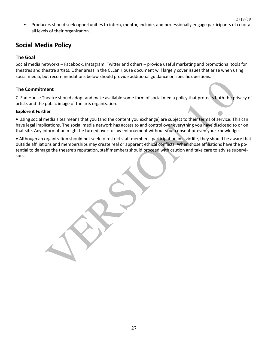3/19/19

Producers should seek opportunities to intern, mentor, include, and professionally engage participants of color at all levels of their organization.

# **Social Media Policy**

### **The Goal**

Social media networks – Facebook, Instagram, Twitter and others – provide useful marketing and promotional tools for theatres and theatre artists. Other areas in the CLEan House document will largely cover issues that arise when using social media, but recommendations below should provide additional guidance on specific questions.

### **The Commitment**

CLEan House Theatre should adopt and make available some form of social media policy that protects both the privacy of artists and the public image of the arts organization.

### **Explore it Further**

• Using social media sites means that you (and the content you exchange) are subject to their terms of service. This can have legal implications. The social media network has access to and control over everything you have disclosed to or on that site. Any information might be turned over to law enforcement without your consent or even your knowledge.

neatte should adopt and make available some form of social media policy that protects both the pripublic limage of the arts organization.<br>Version the result of the active constrained in the content you exchange) are subjec • Although an organization should not seek to restrict staff members' participation in civic life, they should be aware that outside affiliations and memberships may create real or apparent ethical conflicts. When those affiliations have the potential to damage the theatre's reputation, staff members should proceed with caution and take care to advise supervisors.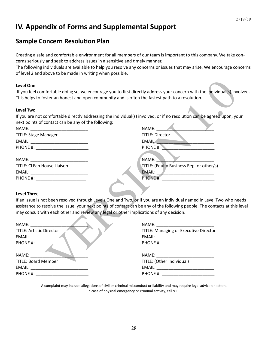# **IV. Appendix of Forms and Supplemental Support**

# **Sample Concern Resolution Plan**

Creating a safe and comfortable environment for all members of our team is important to this company. We take concerns seriously and seek to address issues in a sensitive and timely manner.

The following individuals are available to help you resolve any concerns or issues that may arise. We encourage concerns of level 2 and above to be made in writing when possible.

#### **Level One**

If you feel comfortable doing so, we encourage you to first directly address your concern with the individual(s) involved. This helps to foster an honest and open community and is often the fastest path to a resolution.

#### **Level Two**

| <b>Level One</b>                                                                                                                                                                                                               |                                                                                                                       |
|--------------------------------------------------------------------------------------------------------------------------------------------------------------------------------------------------------------------------------|-----------------------------------------------------------------------------------------------------------------------|
|                                                                                                                                                                                                                                | If you feel comfortable doing so, we encourage you to first directly address your concern with the individual(s) inv  |
| This helps to foster an honest and open community and is often the fastest path to a resolution.                                                                                                                               |                                                                                                                       |
| <b>Level Two</b>                                                                                                                                                                                                               |                                                                                                                       |
|                                                                                                                                                                                                                                | If you are not comfortable directly addressing the individual(s) involved, or if no resolution can be agreed upon, yo |
| next points of contact can be any of the following:                                                                                                                                                                            |                                                                                                                       |
|                                                                                                                                                                                                                                | NAME:                                                                                                                 |
| <b>TITLE: Stage Manager</b>                                                                                                                                                                                                    | <b>TITLE: Director</b>                                                                                                |
|                                                                                                                                                                                                                                | EMAIL:                                                                                                                |
|                                                                                                                                                                                                                                | PHONE #:                                                                                                              |
|                                                                                                                                                                                                                                |                                                                                                                       |
|                                                                                                                                                                                                                                | NAME:                                                                                                                 |
| <b>TITLE: CLEan House Liaison</b>                                                                                                                                                                                              | TITLE: (Equity Business Rep. or other/s)                                                                              |
|                                                                                                                                                                                                                                |                                                                                                                       |
| PHONE #: _________________________                                                                                                                                                                                             |                                                                                                                       |
|                                                                                                                                                                                                                                |                                                                                                                       |
| <b>Level Three</b>                                                                                                                                                                                                             |                                                                                                                       |
|                                                                                                                                                                                                                                | If an issue is not been resolved through Levels One and Two, or if you are an individual named in Level Two who ne    |
|                                                                                                                                                                                                                                | assistance to resolve the issue, your next points of contact can be any of the following people. The contacts at this |
| may consult with each other and review any legal or other implications of any decision.                                                                                                                                        |                                                                                                                       |
| NAME:                                                                                                                                                                                                                          | NAME: NAME:                                                                                                           |
| <b>TITLE: Artistic Director</b>                                                                                                                                                                                                | TITLE: Managing or Executive Director                                                                                 |
| EMAIL:                                                                                                                                                                                                                         |                                                                                                                       |
|                                                                                                                                                                                                                                |                                                                                                                       |
|                                                                                                                                                                                                                                |                                                                                                                       |
| NAME:                                                                                                                                                                                                                          | NAME: NAME                                                                                                            |
| <b>TITLE: Board Member</b>                                                                                                                                                                                                     | TITLE: (Other Individual)                                                                                             |
| EMAIL: EMAIL: And the state of the state of the state of the state of the state of the state of the state of the state of the state of the state of the state of the state of the state of the state of the state of the state |                                                                                                                       |
|                                                                                                                                                                                                                                |                                                                                                                       |

#### **Level Three**

| NAME:                           | NAME:                                        |
|---------------------------------|----------------------------------------------|
| <b>TITLE: Artistic Director</b> | <b>TITLE: Managing or Executive Director</b> |
| EMAIL:                          |                                              |
| PHONE #:                        | PHONE #: _____________________               |
| NAME:                           | NAME: ________________________               |
| <b>TITLE: Board Member</b>      | TITLE: (Other Individual)                    |
|                                 | EMAIL: _________________                     |
| PHONE #:                        | PHONE #:                                     |

A complaint may include allegations of civil or criminal misconduct or liability and may require legal advice or action. In case of physical emergency or criminal activity, call 911.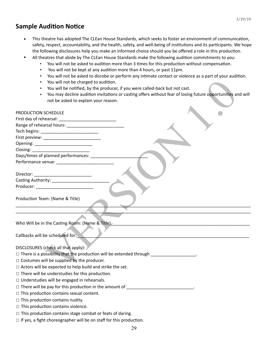# **Sample Audition Notice**

- This theatre has adopted The CLEan House Standards, which seeks to foster an environment of communication, safety, respect, accountability, and the health, safety, and well-being of institutions and its participants. We hope the following disclosures help you make an informed choice should you be offered a role in this production.
- All theatres that abide by The CLEan House Standards make the following audition commitments to you:
	- You will not be asked to audition more than 3 times for this production without compensation.
		- You will not be kept at any audition more than 4 hours, or past 11pm.
		- You will not be asked to disrobe or perform any intimate contact or violence as a part of your audition.
		- You will not be charged to audition.
		- You will be notified, by the producer, if you were called-back but not cast.
		- You may decline audition invitations or casting offers without fear of losing future opportunities and will not be asked to explain your reason.

| You will not be charged to audition.                                                                        |  |  |  |
|-------------------------------------------------------------------------------------------------------------|--|--|--|
| You will be notified, by the producer, if you were called-back but not cast.                                |  |  |  |
| You may decline audition invitations or casting offers without fear of losing future opportunities and will |  |  |  |
| not be asked to explain your reason.                                                                        |  |  |  |
|                                                                                                             |  |  |  |
| PRODUCTION SCHEDULE                                                                                         |  |  |  |
|                                                                                                             |  |  |  |
|                                                                                                             |  |  |  |
| Tech begins: ________________________________                                                               |  |  |  |
|                                                                                                             |  |  |  |
|                                                                                                             |  |  |  |
|                                                                                                             |  |  |  |
| Days/times of planned performances:                                                                         |  |  |  |
|                                                                                                             |  |  |  |
|                                                                                                             |  |  |  |
|                                                                                                             |  |  |  |
|                                                                                                             |  |  |  |
|                                                                                                             |  |  |  |
|                                                                                                             |  |  |  |
| Production Team: (Name & Title)                                                                             |  |  |  |
|                                                                                                             |  |  |  |
|                                                                                                             |  |  |  |
| Who Will be in the Casting Room: (Name & Title)                                                             |  |  |  |
|                                                                                                             |  |  |  |
| Callbacks will be scheduled for:                                                                            |  |  |  |
|                                                                                                             |  |  |  |
| DISCLOSURES (check all that apply):                                                                         |  |  |  |
| □ There is a possibility that the production will be extended through _______________________               |  |  |  |
| $\Box$ Costumes will be supplied by the producer.                                                           |  |  |  |
| $\Box$ Actors will be expected to help build and strike the set.                                            |  |  |  |
| $\Box$ There will be understudies for this production.                                                      |  |  |  |
| $\Box$ Understudies will be engaged in rehearsals.                                                          |  |  |  |
| □ There will be pay for this production in the amount of _______________________                            |  |  |  |
| $\Box$ This production contains sexual content.                                                             |  |  |  |
| $\Box$ This production contains nudity.                                                                     |  |  |  |
| $\Box$ This production contains violence.                                                                   |  |  |  |
| $\Box$ This production contains stage combat or feats of daring.                                            |  |  |  |
|                                                                                                             |  |  |  |

 $\Box$  If yes, a fight choreographer will be on staff for this production.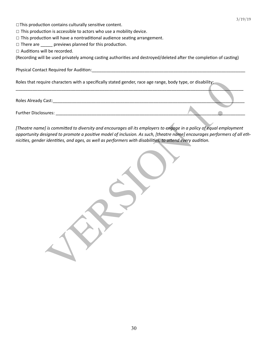- $\Box$ This production contains culturally sensitive content.
- $\Box$  This production is accessible to actors who use a mobility device.
- $\Box$  This production will have a nontraditional audience seating arrangement.
- $\Box$  There are \_\_\_\_\_\_ previews planned for this production.
- □ Auditions will be recorded.

(Recording will be used privately among casting authorities and destroyed/deleted after the completion of casting)

 $\frac{1}{2}$  ,  $\frac{1}{2}$  ,  $\frac{1}{2}$  ,  $\frac{1}{2}$  ,  $\frac{1}{2}$  ,  $\frac{1}{2}$  ,  $\frac{1}{2}$  ,  $\frac{1}{2}$  ,  $\frac{1}{2}$  ,  $\frac{1}{2}$  ,  $\frac{1}{2}$  ,  $\frac{1}{2}$  ,  $\frac{1}{2}$  ,  $\frac{1}{2}$  ,  $\frac{1}{2}$  ,  $\frac{1}{2}$  ,  $\frac{1}{2}$  ,  $\frac{1}{2}$  ,  $\frac{1$ 

Physical Contact Required for AudiGon:\_\_\_\_\_\_\_\_\_\_\_\_\_\_\_\_\_\_\_\_\_\_\_\_\_\_\_\_\_\_\_\_\_\_\_\_\_\_\_\_\_\_\_\_\_\_\_\_\_\_\_\_\_\_\_\_\_\_\_\_\_\_\_\_ 

Roles that require characters with a specifically stated gender, race age range, body type, or disability:

Roles Already Cast:\_\_\_\_\_\_\_\_\_\_\_\_\_\_\_\_\_\_\_\_\_\_\_\_\_\_\_\_\_\_\_\_\_\_\_\_\_\_\_\_\_\_\_\_\_\_\_\_\_\_\_\_\_\_\_\_\_\_\_\_\_\_\_\_\_\_\_\_\_\_\_\_\_\_\_\_\_\_\_\_ 

Further Disclosures: \_\_\_\_\_\_\_\_\_\_\_\_\_\_\_\_\_\_\_\_\_\_\_\_\_\_\_\_\_\_\_\_\_\_\_\_\_\_\_\_\_\_\_\_\_\_\_\_\_\_\_\_\_\_\_\_\_\_\_\_\_\_\_\_\_\_\_\_\_\_\_\_\_\_\_\_\_\_\_ 

ire characters with a specifically stated gender, race age range, body type, or disability;<br>Cast:<br>Cast:<br>Cast:<br>Sast:<br>Sast:<br>Sast:<br>Cast:<br>Cast:<br>Cast:<br>Cast:<br>Cast:<br>Cast:<br>Cast:<br>Cast:<br>Cast:<br>Cast: Cast: Cast: Cast: Cast: Cast: Cast [Theatre name] is committed to diversity and encourages all its employers to engage in a policy of equal employment *opportunity designed to promote a positive model of inclusion. As such, [theatre name] encourages performers of all eth*nicities, gender identities, and ages, as well as performers with disabilities, to attend every audition.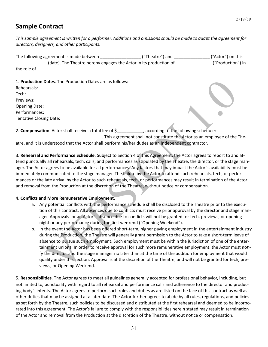# **Sample Contract**

This sample agreement is written for a performer. Additions and omissions should be made to adapt the agreement for directors, designers, and other participants.

| The following agreement is made between | ("Theatre") and                                                   | ("Actor") on this |
|-----------------------------------------|-------------------------------------------------------------------|-------------------|
|                                         | (date). The Theatre hereby engages the Actor in its production of | ("Production") in |
| the role of                             |                                                                   |                   |

1. **Production Dates**. The Production Dates are as follows:

| Rehearsals:             |  |  |
|-------------------------|--|--|
| Tech:                   |  |  |
| Previews:               |  |  |
| <b>Opening Date:</b>    |  |  |
| Performances:           |  |  |
| Tentative Closing Date: |  |  |

2. **Compensation**. Actor shall receive a total fee of  $\frac{2}{3}$  according to the following schedule: . This agreement shall not constitute the Actor as an employee of the The-

atre, and it is understood that the Actor shall perform his/her duties as an independent contractor.

3. Rehearsal and Performance Schedule. Subject to Section 4 of this Agreement, the Actor agrees to report to and attend punctually all rehearsals, tech, calls, and performances as stipulated by the Theatre, the director, or the stage manager. The Actor agrees to be available for all performances. Any factors that may impact the Actor's availability must be immediately communicated to the stage manager. The failure by the Actor to attend such rehearsals, tech, or performances or the late arrival by the Actor to such rehearsals, tech, or performances may result in termination of the Actor and removal from the Production at the discretion of the Theatre, without notice or compensation.

### 4. Conflicts and More Remunerative Employment.

- a. Any potential conflicts with the performance schedule shall be disclosed to the Theatre prior to the execution of this contract. All absences due to conflicts must receive prior approval by the director and stage manager. Approvals for an Actor's absence due to conflicts will not be granted for tech, previews, or opening night or any performance during the first weekend ("Opening Weekend").
- Dates. The Production Dates are as follows:<br>
This agreement shall not constitute the Actor as an employee of the<br>
This agreement shall not constitute the Actor as an employee of the<br>
This agreement shall not constitute the b. In the event the Actor has been offered short-term, higher paying employment in the entertainment industry during the Production, the Theatre will generally grant permission to the Actor to take a short-term leave of absence to pursue such employment. Such employment must be within the jurisdiction of one of the entertainment unions. In order to receive approval for such more remunerative employment, the Actor must notify the director and the stage manager no later than at the time of the audition for employment that would qualify under this section. Approval is at the discretion of the Theatre, and will not be granted for tech, previews, or Opening Weekend.

5. Responsibilities. The Actor agrees to meet all guidelines generally accepted for professional behavior, including, but not limited to, punctuality with regard to all rehearsal and performance calls and adherence to the director and producing body's intents. The Actor agrees to perform such roles and duties as are listed on the face of this contract as well as other duties that may be assigned at a later date. The Actor further agrees to abide by all rules, regulations, and policies as set forth by the Theatre, such policies to be discussed and distributed at the first rehearsal and deemed to be incorporated into this agreement. The Actor's failure to comply with the responsibilities herein stated may result in termination of the Actor and removal from the Production at the discretion of the Theatre, without notice or compensation.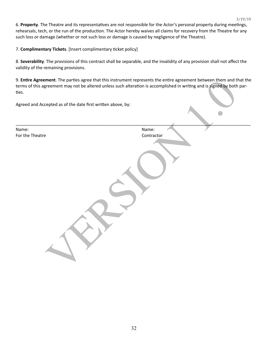6. Property. The Theatre and its representatives are not responsible for the Actor's personal property during meetings, rehearsals, tech, or the run of the production. The Actor hereby waives all claims for recovery from the Theatre for any such loss or damage (whether or not such loss or damage is caused by negligence of the Theatre).

7. **Complimentary Tickets**. [Insert complimentary ticket policy]

8. Severability. The provisions of this contract shall be separable, and the invalidity of any provision shall not affect the validity of the remaining provisions.

9. **Entire Agreement**. The parties agree that this instrument represents the entire agreement between them and that the terms of this agreement may not be altered unless such alteration is accomplished in writing and is signed by both parties.

| 9. <b>Entire Agreement</b> . The parties agree that this instrument represents the entire agreement between them and that the<br>terms of this agreement may not be altered unless such alteration is accomplished in writing and is signed by both par-<br>ties. |            |  |  |
|-------------------------------------------------------------------------------------------------------------------------------------------------------------------------------------------------------------------------------------------------------------------|------------|--|--|
| Agreed and Accepted as of the date first written above, by:                                                                                                                                                                                                       |            |  |  |
| Name:                                                                                                                                                                                                                                                             | Name:      |  |  |
| For the Theatre                                                                                                                                                                                                                                                   | Contractor |  |  |
|                                                                                                                                                                                                                                                                   |            |  |  |
|                                                                                                                                                                                                                                                                   |            |  |  |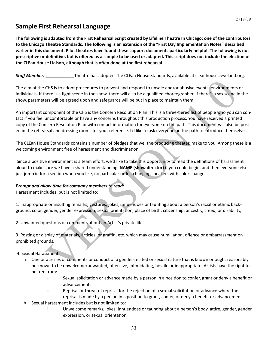# **Sample First Rehearsal Language**

The following is adapted from the First Rehearsal Script created by Lifeline Theatre In Chicago; one of the contributors to the Chicago Theatre Standards. The following is an extension of the "First Day Implementation Notes" described earlier in this document. Pilot theatres have found these support documents particularly helpful. The following is not prescriptive or definitive, but is offered as a sample to be used or adapted. This script does not include the election of the CLEan House Liaison, although that is often done at the first rehearsal.

**Staff Member:** \_\_\_\_\_\_\_\_\_\_\_\_\_\_Theatre has adopted The CLEan House Standards, available at cleanhousecleveland.org.

The aim of the CHS is to adopt procedures to prevent and respond to unsafe and/or abusive events, environments or individuals. If there is a fight scene in the show, there will also be a qualified choreographer. If there's a sex scene in the show, parameters will be agreed upon and safeguards will be put in place to maintain them.

CHS is to adopt procedures to prevent and respond to unsafe and/or abusive events, environments<br>nere is a fight scene in the show, there will also be a qualified choreographer. If there's a sex scene is<br>ers will be agreed An important component of the CHS is the Concern Resolution Plan. This is a three-tiered list of people who you can contact if you feel uncomfortable or have any concerns throughout this production process. You have received a printed copy of the Concern Resolution Plan with contact information for everyone on the path. This document will also be posted in the rehearsal and dressing rooms for your reference. I'd like to ask everyone on the path to introduce themselves.

The CLEan House Standards contains a number of pledges that we, the producing theater, make to you. Among these is a welcoming environment free of harassment and discrimination.

Since a positive environment is a team effort, we'd like to take this opportunity to read the definitions of harassment aloud to make sure we have a shared understanding. **NAME (show director)** if you could begin, and then everyone else just jump in for a section when you like, no particular order, changing speakers with color changes.

### **Prompt and allow time for company members to read:**

Harassment includes, but is not limited to:

1. Inappropriate or insulting remarks, gestures, jokes, innuendoes or taunting about a person's racial or ethnic background, color, gender, gender expression, sexual orientation, place of birth, citizenship, ancestry, creed, or disability,

2. Unwanted questions or comments about an Artist's private life,

3. Posting or display of materials, articles, or graffiti, etc. which may cause humiliation, offence or embarrassment on prohibited grounds.

4. Sexual Harassment:

- a. One or a series of comments or conduct of a gender-related or sexual nature that is known or ought reasonably be known to be unwelcome/unwanted, offensive, intimidating, hostile or inappropriate. Artists have the right to be free from:
	- i. Sexual solicitation or advance made by a person in a position to confer, grant or deny a benefit or advancement,
	- ii. Reprisal or threat of reprisal for the rejection of a sexual solicitation or advance where the reprisal is made by a person in a position to grant, confer, or deny a benefit or advancement.
- b. Sexual harassment includes but is not limited to:
	- i. Unwelcome remarks, jokes, innuendoes or taunting about a person's body, attire, gender, gender expression, or sexual orientation,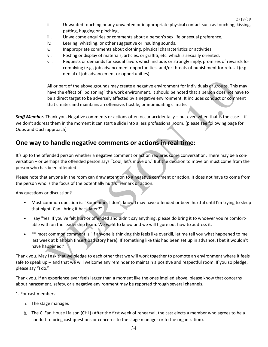3/19/19

- ii. Unwanted touching or any unwanted or inappropriate physical contact such as touching, kissing, patting, hugging or pinching,
- iii. Unwelcome enquiries or comments about a person's sex life or sexual preference,
- iv. Leering, whistling, or other suggestive or insulting sounds,
- v. Inappropriate comments about clothing, physical characteristics or activities,
- vi. Posting or display of materials, articles, or graffiti, etc. which is sexually oriented,
- vii. Requests or demands for sexual favors which include, or strongly imply, promises of rewards for complying  $(e.g., job$  advancement opportunities, and/or threats of punishment for refusal  $(e.g., job)$ denial of job advancement or opportunities).

All or part of the above grounds may create a negative environment for individuals of groups. This<br>have the effect of "poisoning" the work environment. It should be noted that a person does not he<br>be a direct target to be All or part of the above grounds may create a negative environment for individuals or groups. This may have the effect of "poisoning" the work environment. It should be noted that a person does not have to be a direct target to be adversely affected by a negative environment. It includes conduct or comment that creates and maintains an offensive, hostile, or intimidating climate.

**Staff Member:** Thank you. Negative comments or actions often occur accidentally – but even when that is the case -- if we don't address them in the moment it can start a slide into a less professional room. (please see following page for Oops and Ouch approach)

# **One way to handle negative comments or actions in real time:**

It's up to the offended person whether a negative comment or action requires some conversation. There may be a conversation – or perhaps the offended person says "Cool, let's move on." But the decision to move on must come from the person who has been offended.

Please note that anyone in the room can draw attention to a negative comment or action. It does not have to come from the person who is the focus of the potentially hurtful remark or action.

Any questions or discussion?

- Most common question is: "Sometimes I don't know I may have offended or been hurtful until I'm trying to sleep that night. Can I bring it back later?"
- I say "Yes. If you've felt hurt or offended and didn't say anything, please do bring it to whoever you're comfortable with on the leadership team. We want to know and we will figure out how to address it.
- \*\* most common comment is "If anyone is thinking this feels like overkill, let me tell you what happened to me last week at blahblah (insert bad story here). If something like this had been set up in advance, I bet it wouldn't have happened."

Thank you. May I ask that we pledge to each other that we will work together to promote an environment where it feels safe to speak up -- and that we will welcome any reminder to maintain a positive and respectful room. If you so pledge, please say "I do."

Thank you. If an experience ever feels larger than a moment like the ones implied above, please know that concerns about harassment, safety, or a negative environment may be reported through several channels.

1. For cast members:

- a. The stage manager.
- b. The CLEan House Liaison (CHL) (After the first week of rehearsal, the cast elects a member who agrees to be a conduit to bring cast questions or concerns to the stage manager or to the organization).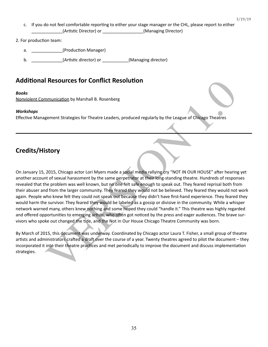- c. If you do not feel comfortable reporting to either your stage manager or the CHL, please report to either (Artistic Director) or \_\_\_\_\_\_\_\_\_\_\_\_\_\_\_\_(Managing Director)
- 2. For production team:
	- a.  $(Production Manager)$
	- **b. LETTER LETTER CONSERVING CONSERVANCE (Artistic director)** or **\_\_\_\_\_\_\_\_\_\_\_\_(Managing director)**

# **Additional Resources for Conflict Resolution**

#### *Books*

Nonviolent Communication by Marshall B. Rosenberg

### *Workshops*

Effective Management Strategies for Theatre Leaders, produced regularly by the League of Chicago Theatres

# **Credits/History**

**I Resources for Conflict Resolution**<br>
Immunication by Marshall B. Rosenberg<br>
Igement Strategies for Theatre Leaders, produced regularly by the League of Chicago Theatres<br> **Story**<br>
2015, Chicago actor Lori Myers made a soc On January 15, 2015, Chicago actor Lori Myers made a social media rallying cry "NOT IN OUR HOUSE" after hearing yet another account of sexual harassment by the same perpetrator at their long-standing theatre. Hundreds of responses revealed that the problem was well known, but no one felt safe enough to speak out. They feared reprisal both from their abuser and from the larger community. They feared they would not be believed. They feared they would not work again. People who knew felt they could not speak out because they didn't have first-hand experience. They feared they would harm the survivor. They feared they would be labeled as a gossip or divisive in the community. While a whisper network warned many, others knew nothing and some hoped they could "handle it." This theatre was highly regarded and offered opportunities to emerging artists, who often got noticed by the press and eager audiences. The brave survivors who spoke out changed the tide, and the Not in Our House Chicago Theatre Community was born.

By March of 2015, this document was underway. Coordinated by Chicago actor Laura T. Fisher, a small group of theatre artists and administrators crafted a draft over the course of a year. Twenty theatres agreed to pilot the document – they incorporated it into their theatre practices and met periodically to improve the document and discuss implementation strategies.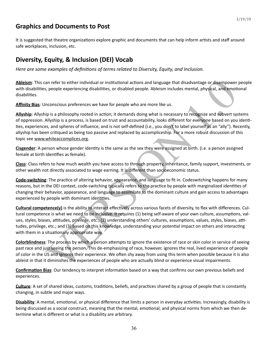# **Graphics and Documents to Post**

It is suggested that theatre organizations explore graphic and documents that can help inform artists and staff around safe workplaces, inclusion, etc.

# **Diversity, Equity, & Inclusion (DEI) Vocab**

*Here are some examples of definitions of terms related to Diversity, Equity, and Inclusion.* 

Ableism: This can refer to either individual or institutional actions and language that disadvantage or disempower people with disabilities, people experiencing disabilities, or disabled people. Ableism includes mental, physical, and emotional disabilities.

**Affinity Bias**: Unconscious preferences we have for people who are more like us.

an refer to either individual or institutional actions and language that disadvantage or disampower<br>p, people experiencing disabilities, or disabled people. Ableism includes mental, physical, and emoti<br>considions preferenc **Allyship**: Allyship is a philosophy rooted in action; it demands doing what is necessary to recognize and subvert systems of oppression. Allyship is a process, is based on trust and accountability, looks different for everyone based on you identities, experiences, and spheres of influence, and is not self-defined (i.e., you don't to label yourself as an "ally"). Recently, allyship has been critiqued as being too passive and replaced by accompliceship. For a more robust discussion of this topic see www.whiteaccomplices.org.

Cisgender: A person whose gender identity is the same as the sex they were assigned at birth. (i.e. a person assigned female at birth identifies as female).

**Class**: Class refers to how much wealth you have access to through property, inheritance, family support, investments, or other wealth not directly associated to wage earning. It is different than socioeconomic status.

**Code-switching**: The practice of altering behavior, appearance, and language to fit in. Codeswitching happens for many reasons, but in the DEI context, code-switching typically refers to the practice by people with marginalized identities of changing their behavior, appearance, and language to assimilate to the dominant culture and gain access to advantages experienced by people with dominant identities.

**Cultural competence(y)** is the ability to interact effectively across various facets of diversity, to flex with differences. Cultural competence is what we need to be inclusive. It requires (1) being self-aware of your own culture, assumptions, values, styles, biases, attitudes, privilege, etc.; (2) understanding others' cultures, assumptions, values, styles, biases, attitudes, privilege, etc.; and (3) based on this knowledge, understanding your potential impact on others and interacting with them in a situationally appropriate way.

**Colorblindness**: The process by which a person attempts to ignore the existence of race or skin color in service of seeing past race and just seeing the person. This de-emphasizing of race, however, ignores the real, lived experience of people of color in the US and ignores their experience. We often shy away from using this term when possible because it is also ableist in that it diminishes the experiences of people who are actually blind or experience visual impairments.

**Confirmation Bias:** Our tendency to interpret information based on a way that confirms our own previous beliefs and experiences. 

**Culture**: A set of shared ideas, customs, traditions, beliefs, and practices shared by a group of people that is constantly changing, in subtle and major ways.

**Disability**: A mental, emotional, or physical difference that limits a person in everyday activities. Increasingly, disability is being discussed as a social construct, meaning that the mental, emotional, and physical norms from which we then determine what is different or what is a disability are arbitrary.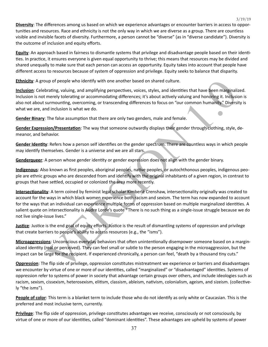**Diversity**: The differences among us based on which we experience advantages or encounter barriers in access to opportunities and resources. Race and ethnicity is not the only way in which we are diverse as a group. There are countless visible and invisible facets of diversity. Furthermore, a person cannot be "diverse" (as in "diverse candidate"). Diversity is the outcome of inclusion and equity efforts.

3/19/19

**Equity**: An approach based in fairness to dismantle systems that privilege and disadvantage people based on their identities. In practice, it ensures everyone is given equal opportunity to thrive; this means that resources may be divided and shared unequally to make sure that each person can access an opportunity. Equity takes into account that people have different access to resources because of system of oppression and privilege. Equity seeks to balance that disparity.

**Ethnicity**: A group of people who identify with one another based on shared culture.

**Inclusion**: Celebrating, valuing, and amplifying perspectives, voices, styles, and identities that have been marginalized. Inclusion is not merely tolerating or accommodating differences; it's about actively valuing and honoring it. Inclusion is also not about surmounting, overcoming, or transcending differences to focus on "our common humanity." Diversity is what we are, and inclusion is what we do.

**Gender Binary:** The false assumption that there are only two genders, male and female.

Gender Expression/Presentation: The way that someone outwardly displays their gender through clothing, style, demeanor, and behavior.

Gender Identity: Refers how a person self identifies on the gender spectrum. There are countless ways in which people may identify themselves. Gender is a universe and we are all stars.

Genderqueer: A person whose gender identity or gender expression does not align with the gender binary.

**Indigenous**: Also known as first peoples, aboriginal peoples, native peoples, or autochthonous peoples, indigenous people are ethnic groups who are descended from and identify with the original inhabitants of a given region, in contrast to groups that have settled, occupied or colonized the area more recently.

oup of people who identify with one another based on shared culture.<br>
Interactives, valuing, and amplifying perspectives, yoices, styles, and identifies that have been marginalis<br>
merely tolerating or accommodating differe **Intersectionality**: A term coined by feminist legal scholar Kimberlé Crenshaw, intersectionality originally was created to account for the ways in which black women experience both racism and sexism. The term has now expanded to account for the ways that an individual can experience multiple forms of oppression based on multiple marginalized identities. A salient quote on intersectionality is Audre Lorde's quote "There is no such thing as a single-issue struggle because we do not live single-issue lives."

**Justice**: Justice is the end goal of equity efforts. Justice is the result of dismantling systems of oppression and privilege that create barriers to people's ability to access resources (e.g., the "isms").

**Microaggressions**: Unconscious everyday behaviors that often unintentionally disempower someone based on a marginalized identity (real or perceived). They can feel small or subtle to the person engaging in the microaggression, but the impact can be large for the recipient. If experienced chronically, a person can feel, "death by a thousand tiny cuts."

**Oppression**: The flip side of privilege, oppression constitutes mistreatment we experience or barriers and disadvantages we encounter by virtue of one or more of our identities, called "marginalized" or "disadvantaged" identities. Systems of oppression refer to systems of power in society that advantage certain groups over others, and include ideologies such as racism, sexism, cissexism, heterosexism, elitism, classism, ableism, nativism, colonialism, ageism, and sizeism. (collectively "the isms").

**People of color**: This term is a blanket term to include those who do not identify as only white or Caucasian. This is the preferred and most inclusive term, currently.

**Privilege**: The flip side of oppression, privilege constitutes advantages we receive, consciously or not consciously, by virtue of one or more of our identities, called "dominant identities". These advantages are upheld by systems of power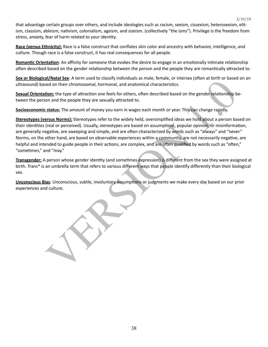that advantage certain groups over others, and include ideologies such as racism, sexism, cissexism, heterosexism, elitism, classism, ableism, nativism, colonialism, ageism, and sizeism. (collectively "the isms"). Privilege is the freedom from stress, anxiety, fear of harm related to your identity.

3/19/19

**Race (versus Ethnicity):** Race is a false construct that conflates skin color and ancestry with behavior, intelligence, and culture. Though race is a false construct, it has real consequences for all people.

**Romantic Orientation**: An affinity for someone that evokes the desire to engage in an emotionally intimate relationship often described based on the gender relationship between the person and the people they are romantically attracted to.

**Sex or Biological/Natal Sex**: A term used to classify individuals as male, female, or intersex (often at birth or based on an ultrasound) based on their chromosomal, hormonal, and anatomical characteristics.

**Sexual Orientation:** the type of attraction one feels for others, often described based on the gender relationship between the person and the people they are sexually attracted to.

**Socioeconomic status:** The amount of money you earn in wages each month or year. This can change rapidly.

and the properties are the moment of the moment of the moment of the moment of the moment of the properties.<br>
Ed on their chromosomal, hormonal, and anatomical characteristics.<br>
Sign: the type of attraction one feels for o **Stereotypes (versus Norms):** Stereotypes refer to the widely held, oversimplified ideas we hold about a person based on their identities (real or perceived). Usually, stereotypes are based on assumptions, popular opinion, or misinformation, are generally negative, are sweeping and simple, and are often characterized by words such as "always" and "never." Norms, on the other hand, are based on observable experiences within a community, are not necessarily negative, are helpful and intended to guide people in their actions, are complex, and are often qualified by words such as "often," "sometimes," and "may."

**Transgender:** A person whose gender identity (and sometimes expression) is different from the sex they were assigned at birth. Trans\* is an umbrella term that refers to various different ways that people identify differently than their biological sex. 

**Unconscious Bias**: Unconscious, subtle, involuntary assumptions or judgments we make every day based on our prior experiences and culture.

38